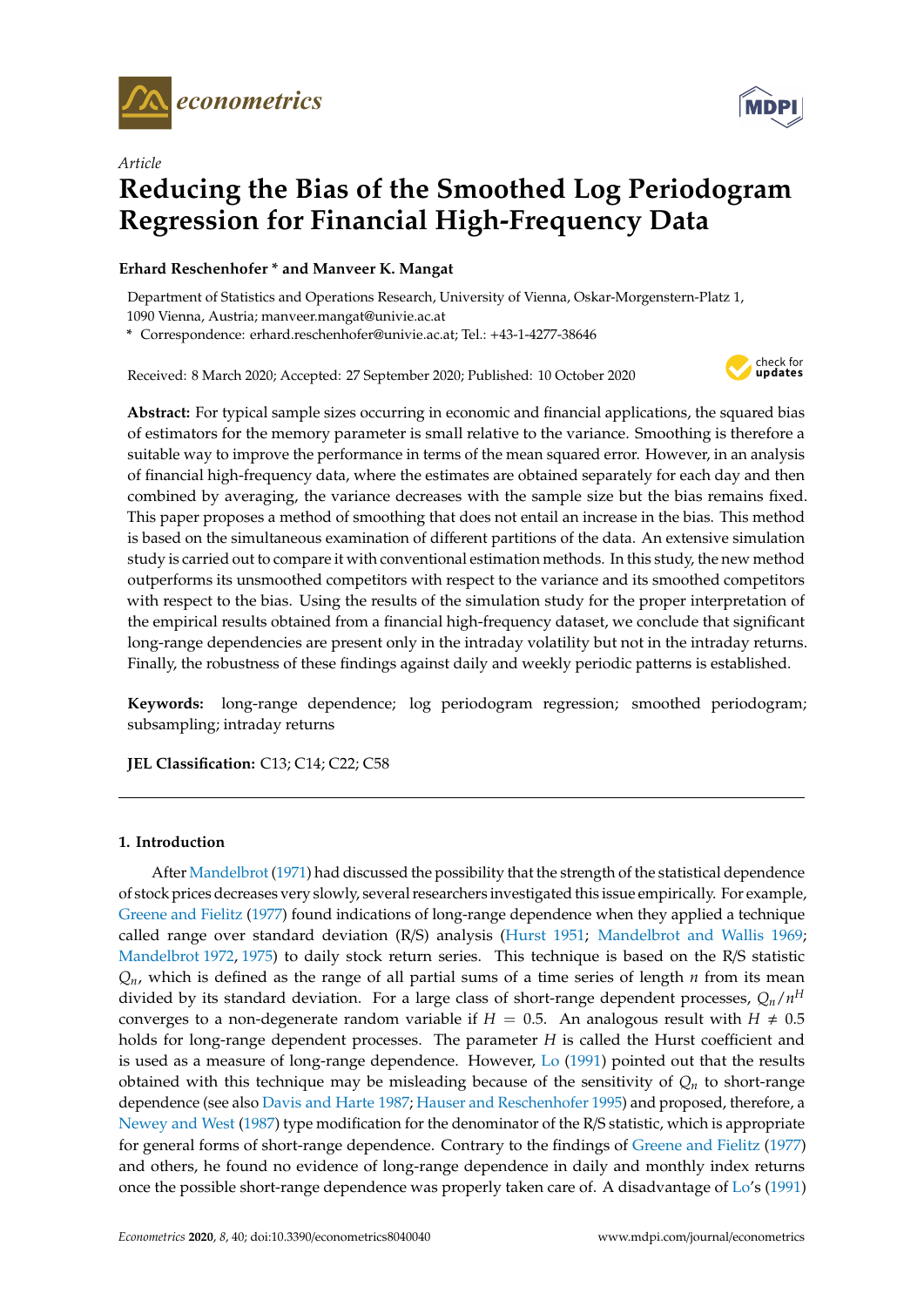



# *Article* **Reducing the Bias of the Smoothed Log Periodogram Regression for Financial High-Frequency Data**

# **Erhard Reschenhofer \* and Manveer K. Mangat**

Department of Statistics and Operations Research, University of Vienna, Oskar-Morgenstern-Platz 1, 1090 Vienna, Austria; manveer.mangat@univie.ac.at

**\*** Correspondence: erhard.reschenhofer@univie.ac.at; Tel.: +43-1-4277-38646

Received: 8 March 2020; Accepted: 27 September 2020; Published: 10 October 2020



**Abstract:** For typical sample sizes occurring in economic and financial applications, the squared bias of estimators for the memory parameter is small relative to the variance. Smoothing is therefore a suitable way to improve the performance in terms of the mean squared error. However, in an analysis of financial high-frequency data, where the estimates are obtained separately for each day and then combined by averaging, the variance decreases with the sample size but the bias remains fixed. This paper proposes a method of smoothing that does not entail an increase in the bias. This method is based on the simultaneous examination of different partitions of the data. An extensive simulation study is carried out to compare it with conventional estimation methods. In this study, the new method outperforms its unsmoothed competitors with respect to the variance and its smoothed competitors with respect to the bias. Using the results of the simulation study for the proper interpretation of the empirical results obtained from a financial high-frequency dataset, we conclude that significant long-range dependencies are present only in the intraday volatility but not in the intraday returns. Finally, the robustness of these findings against daily and weekly periodic patterns is established.

**Keywords:** long-range dependence; log periodogram regression; smoothed periodogram; subsampling; intraday returns

**JEL Classification:** C13; C14; C22; C58

# **1. Introduction**

After [Mandelbrot](#page-14-0) [\(1971\)](#page-14-0) had discussed the possibility that the strength of the statistical dependence of stock prices decreases very slowly, several researchers investigated this issue empirically. For example, [Greene and Fielitz](#page-13-0) [\(1977\)](#page-13-0) found indications of long-range dependence when they applied a technique called range over standard deviation (R/S) analysis [\(Hurst](#page-14-1) [1951;](#page-14-1) [Mandelbrot and Wallis](#page-14-2) [1969;](#page-14-2) [Mandelbrot](#page-14-3) [1972,](#page-14-3) [1975\)](#page-14-4) to daily stock return series. This technique is based on the R/S statistic  $Q_n$ , which is defined as the range of all partial sums of a time series of length  $n$  from its mean divided by its standard deviation. For a large class of short-range dependent processes, *Qn*/*n H* converges to a non-degenerate random variable if  $H = 0.5$ . An analogous result with  $H \neq 0.5$ holds for long-range dependent processes. The parameter *H* is called the Hurst coefficient and is used as a measure of long-range dependence. However, [Lo](#page-14-5) [\(1991\)](#page-14-5) pointed out that the results obtained with this technique may be misleading because of the sensitivity of  $Q_n$  to short-range dependence (see also [Davis and Harte](#page-13-1) [1987;](#page-13-1) [Hauser and Reschenhofer](#page-14-6) [1995\)](#page-14-6) and proposed, therefore, a [Newey and West](#page-14-7) [\(1987\)](#page-14-7) type modification for the denominator of the R/S statistic, which is appropriate for general forms of short-range dependence. Contrary to the findings of [Greene and Fielitz](#page-13-0) [\(1977\)](#page-13-0) and others, he found no evidence of long-range dependence in daily and monthly index returns once the possible short-range dependence was properly taken care of. A disadvantage of [Lo'](#page-14-5)s [\(1991\)](#page-14-5)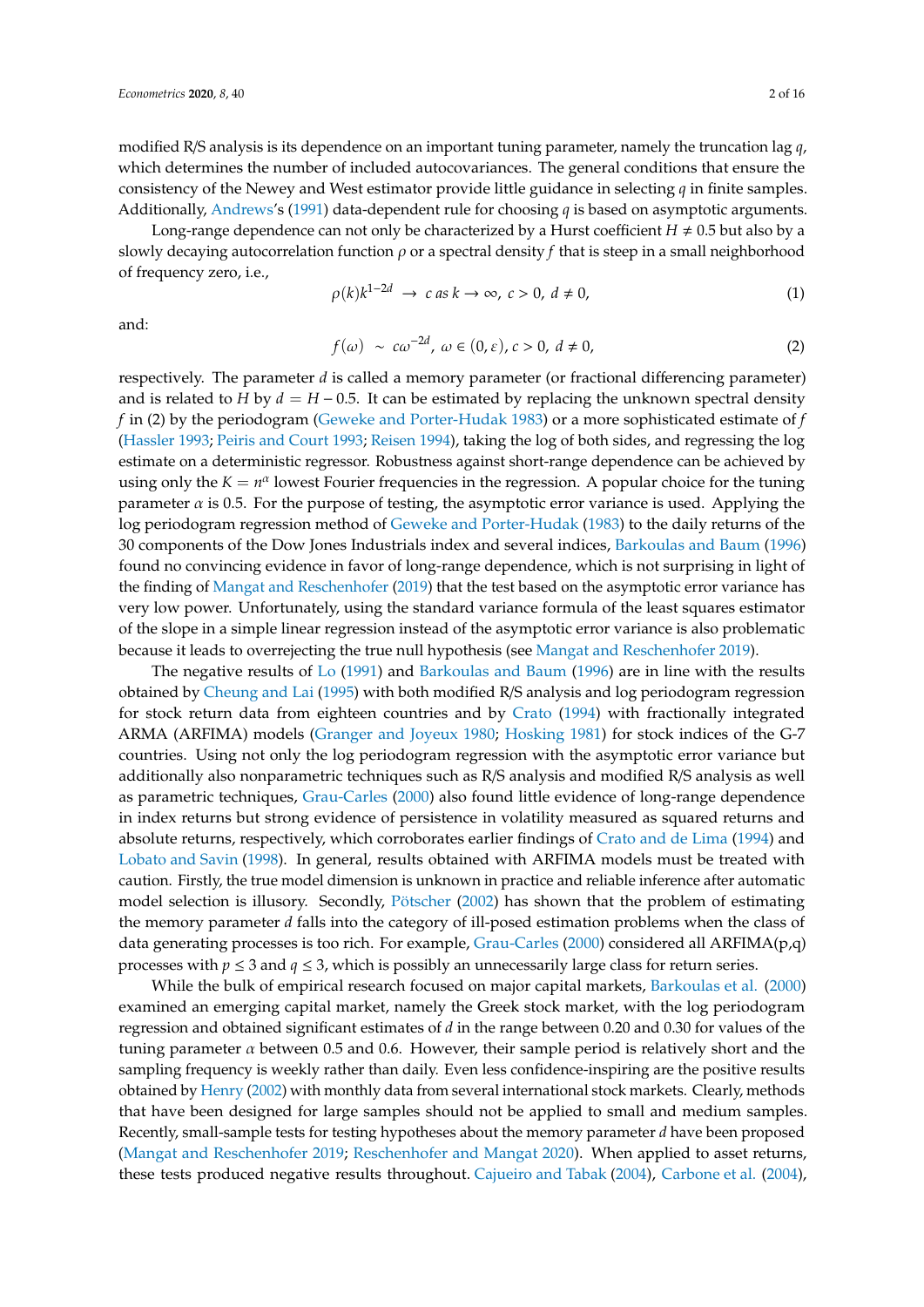modified R/S analysis is its dependence on an important tuning parameter, namely the truncation lag *q*, which determines the number of included autocovariances. The general conditions that ensure the consistency of the Newey and West estimator provide little guidance in selecting *q* in finite samples. Additionally, [Andrews'](#page-13-2)s [\(1991\)](#page-13-2) data-dependent rule for choosing *q* is based on asymptotic arguments.

Long-range dependence can not only be characterized by a Hurst coefficient  $H \neq 0.5$  but also by a slowly decaying autocorrelation function ρ or a spectral density *f* that is steep in a small neighborhood of frequency zero, i.e.,

$$
\rho(k)k^{1-2d} \to c \text{ as } k \to \infty, c > 0, d \neq 0,
$$
\n
$$
(1)
$$

and:

$$
f(\omega) \sim c\omega^{-2d}, \omega \in (0, \varepsilon), c > 0, d \neq 0,
$$
 (2)

respectively. The parameter *d* is called a memory parameter (or fractional differencing parameter) and is related to *H* by  $d = H - 0.5$ . It can be estimated by replacing the unknown spectral density *f* in (2) by the periodogram [\(Geweke and Porter-Hudak](#page-13-3) [1983\)](#page-13-3) or a more sophisticated estimate of *f* [\(Hassler](#page-14-8) [1993;](#page-14-8) [Peiris and Court](#page-14-9) [1993;](#page-14-9) [Reisen](#page-14-10) [1994\)](#page-14-10), taking the log of both sides, and regressing the log estimate on a deterministic regressor. Robustness against short-range dependence can be achieved by using only the  $K = n^{\alpha}$  lowest Fourier frequencies in the regression. A popular choice for the tuning parameter  $\alpha$  is 0.5. For the purpose of testing, the asymptotic error variance is used. Applying the log periodogram regression method of [Geweke and Porter-Hudak](#page-13-3) [\(1983\)](#page-13-3) to the daily returns of the 30 components of the Dow Jones Industrials index and several indices, [Barkoulas and Baum](#page-13-4) [\(1996\)](#page-13-4) found no convincing evidence in favor of long-range dependence, which is not surprising in light of the finding of [Mangat and Reschenhofer](#page-14-11) [\(2019\)](#page-14-11) that the test based on the asymptotic error variance has very low power. Unfortunately, using the standard variance formula of the least squares estimator of the slope in a simple linear regression instead of the asymptotic error variance is also problematic because it leads to overrejecting the true null hypothesis (see [Mangat and Reschenhofer](#page-14-11) [2019\)](#page-14-11).

The negative results of [Lo](#page-14-5) [\(1991\)](#page-14-5) and [Barkoulas and Baum](#page-13-4) [\(1996\)](#page-13-4) are in line with the results obtained by [Cheung and Lai](#page-13-5) [\(1995\)](#page-13-5) with both modified R/S analysis and log periodogram regression for stock return data from eighteen countries and by [Crato](#page-13-6) [\(1994\)](#page-13-6) with fractionally integrated ARMA (ARFIMA) models [\(Granger and Joyeux](#page-13-7) [1980;](#page-13-7) [Hosking](#page-14-12) [1981\)](#page-14-12) for stock indices of the G-7 countries. Using not only the log periodogram regression with the asymptotic error variance but additionally also nonparametric techniques such as R/S analysis and modified R/S analysis as well as parametric techniques, [Grau-Carles](#page-13-8) [\(2000\)](#page-13-8) also found little evidence of long-range dependence in index returns but strong evidence of persistence in volatility measured as squared returns and absolute returns, respectively, which corroborates earlier findings of [Crato and de Lima](#page-13-9) [\(1994\)](#page-13-9) and [Lobato and Savin](#page-14-13) [\(1998\)](#page-14-13). In general, results obtained with ARFIMA models must be treated with caution. Firstly, the true model dimension is unknown in practice and reliable inference after automatic model selection is illusory. Secondly, [Pötscher](#page-14-14) [\(2002\)](#page-14-14) has shown that the problem of estimating the memory parameter *d* falls into the category of ill-posed estimation problems when the class of data generating processes is too rich. For example, [Grau-Carles](#page-13-8) [\(2000\)](#page-13-8) considered all ARFIMA(p,q) processes with  $p \le 3$  and  $q \le 3$ , which is possibly an unnecessarily large class for return series.

While the bulk of empirical research focused on major capital markets, [Barkoulas et al.](#page-13-10) [\(2000\)](#page-13-10) examined an emerging capital market, namely the Greek stock market, with the log periodogram regression and obtained significant estimates of *d* in the range between 0.20 and 0.30 for values of the tuning parameter  $\alpha$  between 0.5 and 0.6. However, their sample period is relatively short and the sampling frequency is weekly rather than daily. Even less confidence-inspiring are the positive results obtained by [Henry](#page-14-15) [\(2002\)](#page-14-15) with monthly data from several international stock markets. Clearly, methods that have been designed for large samples should not be applied to small and medium samples. Recently, small-sample tests for testing hypotheses about the memory parameter *d* have been proposed [\(Mangat and Reschenhofer](#page-14-11) [2019;](#page-14-11) [Reschenhofer and Mangat](#page-14-16) [2020\)](#page-14-16). When applied to asset returns, these tests produced negative results throughout. [Cajueiro and Tabak](#page-13-11) [\(2004\)](#page-13-11), [Carbone et al.](#page-13-12) [\(2004\)](#page-13-12),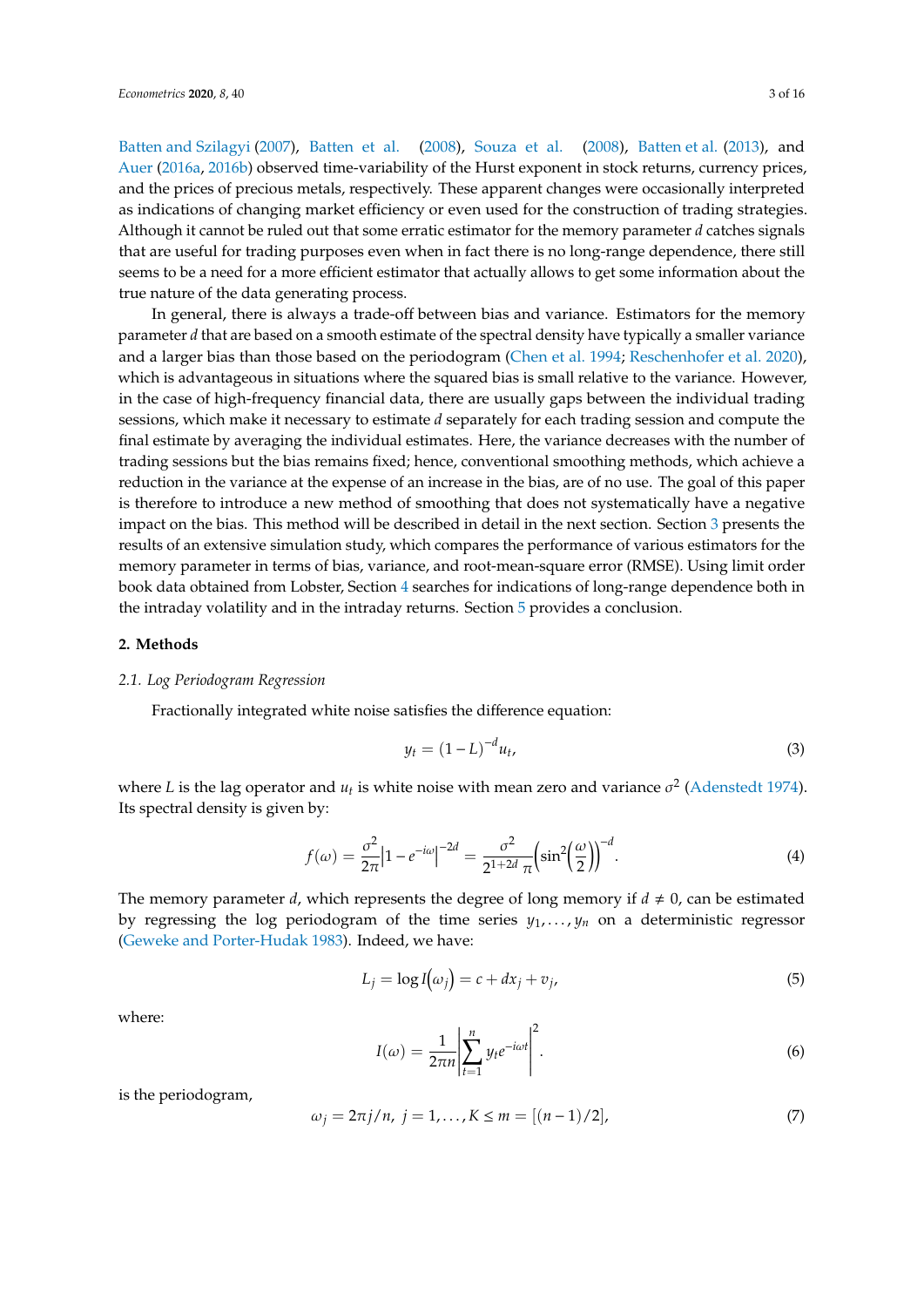[Batten and Szilagyi](#page-13-13) [\(2007\)](#page-13-13), [Batten et al.](#page-13-14) [\(2008\)](#page-13-14), [Souza et al.](#page-15-0) [\(2008\)](#page-15-0), [Batten et al.](#page-13-15) [\(2013\)](#page-13-15), and [Auer](#page-13-16) [\(2016a,](#page-13-16) [2016b\)](#page-13-17) observed time-variability of the Hurst exponent in stock returns, currency prices, and the prices of precious metals, respectively. These apparent changes were occasionally interpreted as indications of changing market efficiency or even used for the construction of trading strategies. Although it cannot be ruled out that some erratic estimator for the memory parameter *d* catches signals that are useful for trading purposes even when in fact there is no long-range dependence, there still seems to be a need for a more efficient estimator that actually allows to get some information about the true nature of the data generating process.

In general, there is always a trade-off between bias and variance. Estimators for the memory parameter *d* that are based on a smooth estimate of the spectral density have typically a smaller variance and a larger bias than those based on the periodogram [\(Chen et al.](#page-13-18) [1994;](#page-13-18) [Reschenhofer et al.](#page-14-17) [2020\)](#page-14-17), which is advantageous in situations where the squared bias is small relative to the variance. However, in the case of high-frequency financial data, there are usually gaps between the individual trading sessions, which make it necessary to estimate *d* separately for each trading session and compute the final estimate by averaging the individual estimates. Here, the variance decreases with the number of trading sessions but the bias remains fixed; hence, conventional smoothing methods, which achieve a reduction in the variance at the expense of an increase in the bias, are of no use. The goal of this paper is therefore to introduce a new method of smoothing that does not systematically have a negative impact on the bias. This method will be described in detail in the next section. Section [3](#page-7-0) presents the results of an extensive simulation study, which compares the performance of various estimators for the memory parameter in terms of bias, variance, and root-mean-square error (RMSE). Using limit order book data obtained from Lobster, Section [4](#page-10-0) searches for indications of long-range dependence both in the intraday volatility and in the intraday returns. Section [5](#page-12-0) provides a conclusion.

#### **2. Methods**

## *2.1. Log Periodogram Regression*

Fractionally integrated white noise satisfies the difference equation:

$$
y_t = (1 - L)^{-d} u_t,\tag{3}
$$

where *L* is the lag operator and  $u_t$  is white noise with mean zero and variance  $\sigma^2$  [\(Adenstedt](#page-13-19) [1974\)](#page-13-19). Its spectral density is given by:

$$
f(\omega) = \frac{\sigma^2}{2\pi} \left| 1 - e^{-i\omega} \right|^{-2d} = \frac{\sigma^2}{2^{1+2d}\pi} \left( \sin^2 \left( \frac{\omega}{2} \right) \right)^{-d} . \tag{4}
$$

The memory parameter *d*, which represents the degree of long memory if  $d \neq 0$ , can be estimated by regressing the log periodogram of the time series  $y_1, \ldots, y_n$  on a deterministic regressor [\(Geweke and Porter-Hudak](#page-13-3) [1983\)](#page-13-3). Indeed, we have:

$$
L_j = \log I(\omega_j) = c + dx_j + v_j,\tag{5}
$$

where:

$$
I(\omega) = \frac{1}{2\pi n} \left| \sum_{t=1}^{n} y_t e^{-i\omega t} \right|^2.
$$
\n
$$
(6)
$$

is the periodogram,

$$
\omega_j = 2\pi j/n, \ j = 1, \dots, K \le m = [(n-1)/2], \tag{7}
$$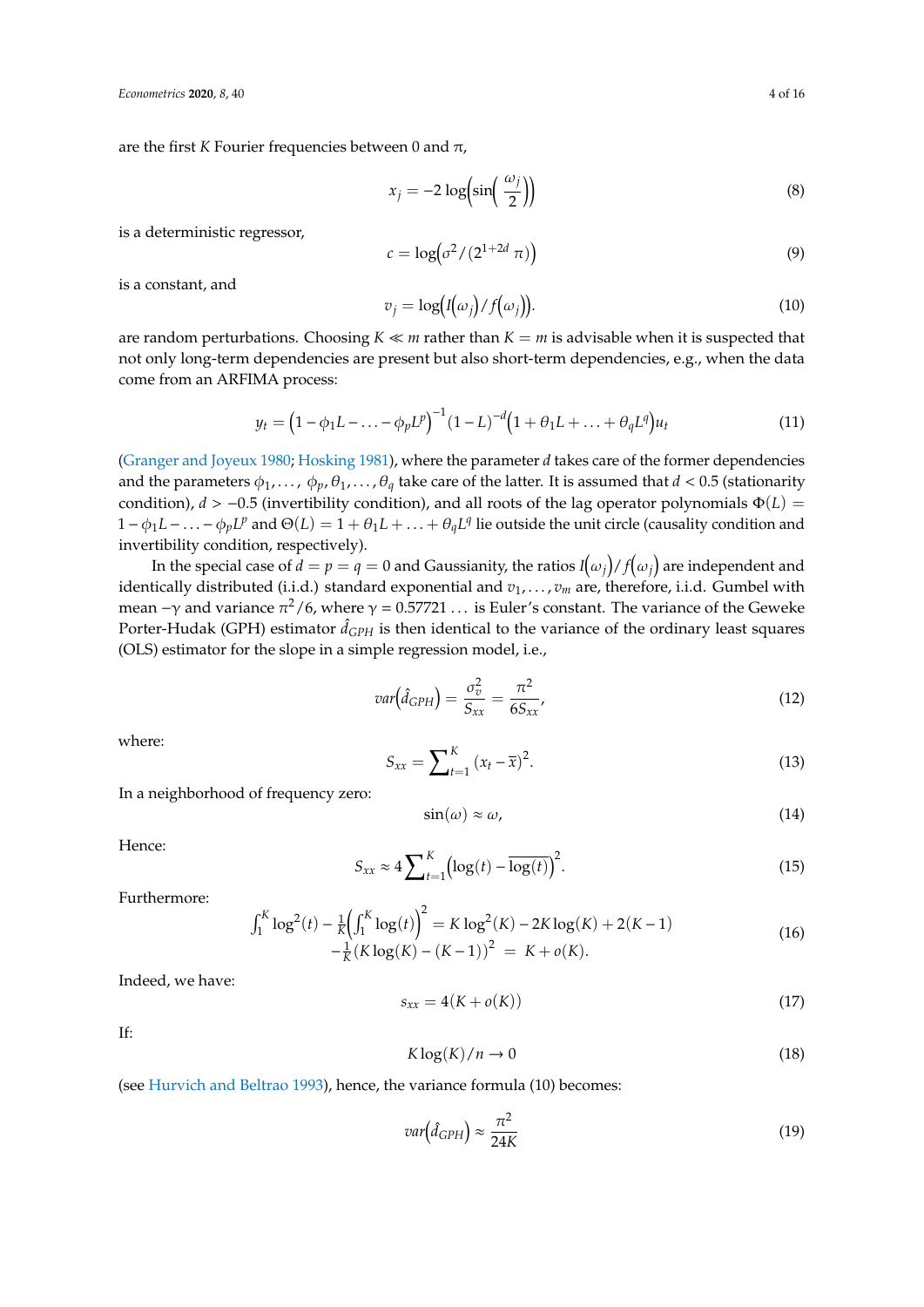are the first *K* Fourier frequencies between 0 and  $\pi$ ,

$$
x_j = -2\log\left(\sin\left(\frac{\omega_j}{2}\right)\right) \tag{8}
$$

is a deterministic regressor,

$$
c = \log\left(\sigma^2/(2^{1+2d}\,\pi)\right) \tag{9}
$$

is a constant, and

$$
v_j = \log(I(\omega_j)/f(\omega_j)).
$$
\n(10)

are random perturbations. Choosing  $K \ll m$  rather than  $K = m$  is advisable when it is suspected that not only long-term dependencies are present but also short-term dependencies, e.g., when the data come from an ARFIMA process:

$$
y_t = (1 - \phi_1 L - \dots - \phi_p L^p)^{-1} (1 - L)^{-d} (1 + \theta_1 L + \dots + \theta_q L^q) u_t
$$
\n(11)

[\(Granger and Joyeux](#page-13-7) [1980;](#page-13-7) [Hosking](#page-14-12) [1981\)](#page-14-12), where the parameter *d* takes care of the former dependencies and the parameters  $\phi_1, \ldots, \phi_p, \theta_1, \ldots, \theta_q$  take care of the latter. It is assumed that  $d < 0.5$  (stationarity condition),  $d > -0.5$  (invertibility condition), and all roots of the lag operator polynomials  $\Phi(L)$  =  $1 - \phi_1 L - \ldots - \phi_p L^p$  and  $Θ(L) = 1 + θ_1 L + \ldots + θ_q L^q$  lie outside the unit circle (causality condition and invertibility condition, respectively).

In the special case of  $d = p = q = 0$  and Gaussianity, the ratios  $I\big(\omega_j\big)/f\big(\omega_j\big)$  are independent and identically distributed (i.i.d.) standard exponential and  $v_1, \ldots, v_m$  are, therefore, i.i.d. Gumbel with mean  $-\gamma$  and variance  $\pi^2/6$ , where  $\gamma = 0.57721...$  is Euler's constant. The variance of the Geweke Porter-Hudak (GPH) estimator  $\hat{d}_{GPH}$  is then identical to the variance of the ordinary least squares (OLS) estimator for the slope in a simple regression model, i.e.,

$$
var(\hat{d}_{GPH}) = \frac{\sigma_v^2}{S_{xx}} = \frac{\pi^2}{6S_{xx}},
$$
\n(12)

where:

$$
S_{xx} = \sum_{t=1}^{K} (x_t - \overline{x})^2.
$$
 (13)

In a neighborhood of frequency zero:

$$
\sin(\omega) \approx \omega,\tag{14}
$$

Hence:

$$
S_{xx} \approx 4 \sum_{t=1}^{K} \left( \log(t) - \overline{\log(t)} \right)^2.
$$
 (15)

Furthermore:

$$
\int_{1}^{K} \log^{2}(t) - \frac{1}{K} \left( \int_{1}^{K} \log(t) \right)^{2} = K \log^{2}(K) - 2K \log(K) + 2(K - 1) - \frac{1}{K} (K \log(K) - (K - 1))^{2} = K + o(K).
$$
\n(16)

Indeed, we have:

$$
s_{xx} = 4(K + o(K))
$$
\n<sup>(17)</sup>

If:

$$
K\log(K)/n \to 0\tag{18}
$$

(see [Hurvich and Beltrao](#page-14-18) [1993\)](#page-14-18), hence, the variance formula (10) becomes:

$$
var(\hat{d}_{GPH}) \approx \frac{\pi^2}{24K} \tag{19}
$$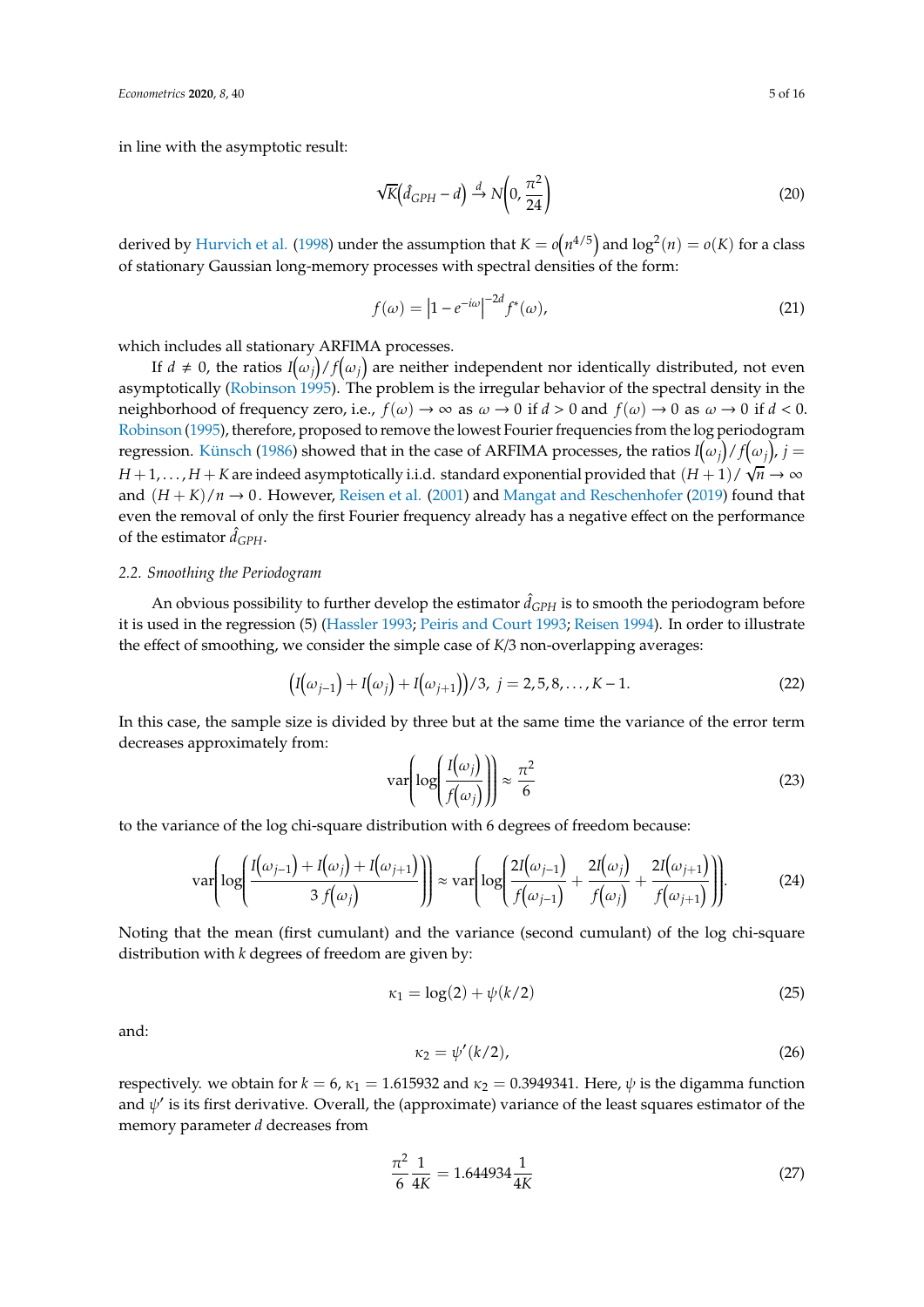in line with the asymptotic result:

$$
\sqrt{K}(\hat{d}_{GPH} - d) \xrightarrow{d} N\left(0, \frac{\pi^2}{24}\right) \tag{20}
$$

derived by [Hurvich et al.](#page-14-19) [\(1998\)](#page-14-19) under the assumption that  $K = o(n^{4/5})$  and  $log^2(n) = o(K)$  for a class of stationary Gaussian long-memory processes with spectral densities of the form:

$$
f(\omega) = \left| 1 - e^{-i\omega} \right|^{-2d} f^*(\omega), \tag{21}
$$

which includes all stationary ARFIMA processes.

If  $d\neq 0$ , the ratios  $I\big(\omega_j\big)/f\big(\omega_j\big)$  are neither independent nor identically distributed, not even asymptotically [\(Robinson](#page-15-1) [1995\)](#page-15-1). The problem is the irregular behavior of the spectral density in the neighborhood of frequency zero, i.e.,  $f(\omega) \to \infty$  as  $\omega \to 0$  if  $d > 0$  and  $f(\omega) \to 0$  as  $\omega \to 0$  if  $d < 0$ . [Robinson](#page-15-1) [\(1995\)](#page-15-1), therefore, proposed to remove the lowest Fourier frequencies from the log periodogram regression. [Künsch](#page-14-20) [\(1986\)](#page-14-20) showed that in the case of ARFIMA processes, the ratios  $I(\omega_j)/f(\omega_j)$ ,  $j =$  $H + 1, \ldots, H + K$  are indeed asymptotically i.i.d. standard exponential provided that  $(H + 1) / \sqrt{n} \rightarrow \infty$ and  $(H + K)/n \rightarrow 0$ . However, [Reisen et al.](#page-14-21) [\(2001\)](#page-14-21) and [Mangat and Reschenhofer](#page-14-11) [\(2019\)](#page-14-11) found that even the removal of only the first Fourier frequency already has a negative effect on the performance of the estimator  $\hat{d}_{GPH}$ .

## <span id="page-4-0"></span>*2.2. Smoothing the Periodogram*

An obvious possibility to further develop the estimator  $\hat{d}_{GPH}$  is to smooth the periodogram before it is used in the regression (5) [\(Hassler](#page-14-8) [1993;](#page-14-8) [Peiris and Court](#page-14-9) [1993;](#page-14-9) [Reisen](#page-14-10) [1994\)](#page-14-10). In order to illustrate the effect of smoothing, we consider the simple case of *K*/3 non-overlapping averages:

$$
(I(\omega_{j-1}) + I(\omega_j) + I(\omega_{j+1}))/3, \ j = 2, 5, 8, ..., K - 1.
$$
 (22)

In this case, the sample size is divided by three but at the same time the variance of the error term decreases approximately from:

$$
\text{var}\left(\log\left(\frac{I(\omega_j)}{f(\omega_j)}\right)\right) \approx \frac{\pi^2}{6} \tag{23}
$$

to the variance of the log chi-square distribution with 6 degrees of freedom because:

$$
\operatorname{var}\left(\log\left(\frac{I(\omega_{j-1}) + I(\omega_j) + I(\omega_{j+1})}{3 f(\omega_j)}\right)\right) \approx \operatorname{var}\left(\log\left(\frac{2I(\omega_{j-1})}{f(\omega_{j-1})} + \frac{2I(\omega_j)}{f(\omega_j)} + \frac{2I(\omega_{j+1})}{f(\omega_{j+1})}\right)\right).
$$
(24)

Noting that the mean (first cumulant) and the variance (second cumulant) of the log chi-square distribution with *k* degrees of freedom are given by:

$$
\kappa_1 = \log(2) + \psi(k/2)
$$
 (25)

and:

$$
\kappa_2 = \psi'(k/2),\tag{26}
$$

respectively. we obtain for  $k = 6$ ,  $\kappa_1 = 1.615932$  and  $\kappa_2 = 0.3949341$ . Here,  $\psi$  is the digamma function and  $\psi'$  is its first derivative. Overall, the (approximate) variance of the least squares estimator of the memory parameter *d* decreases from

$$
\frac{\pi^2}{6} \frac{1}{4K} = 1.644934 \frac{1}{4K}
$$
 (27)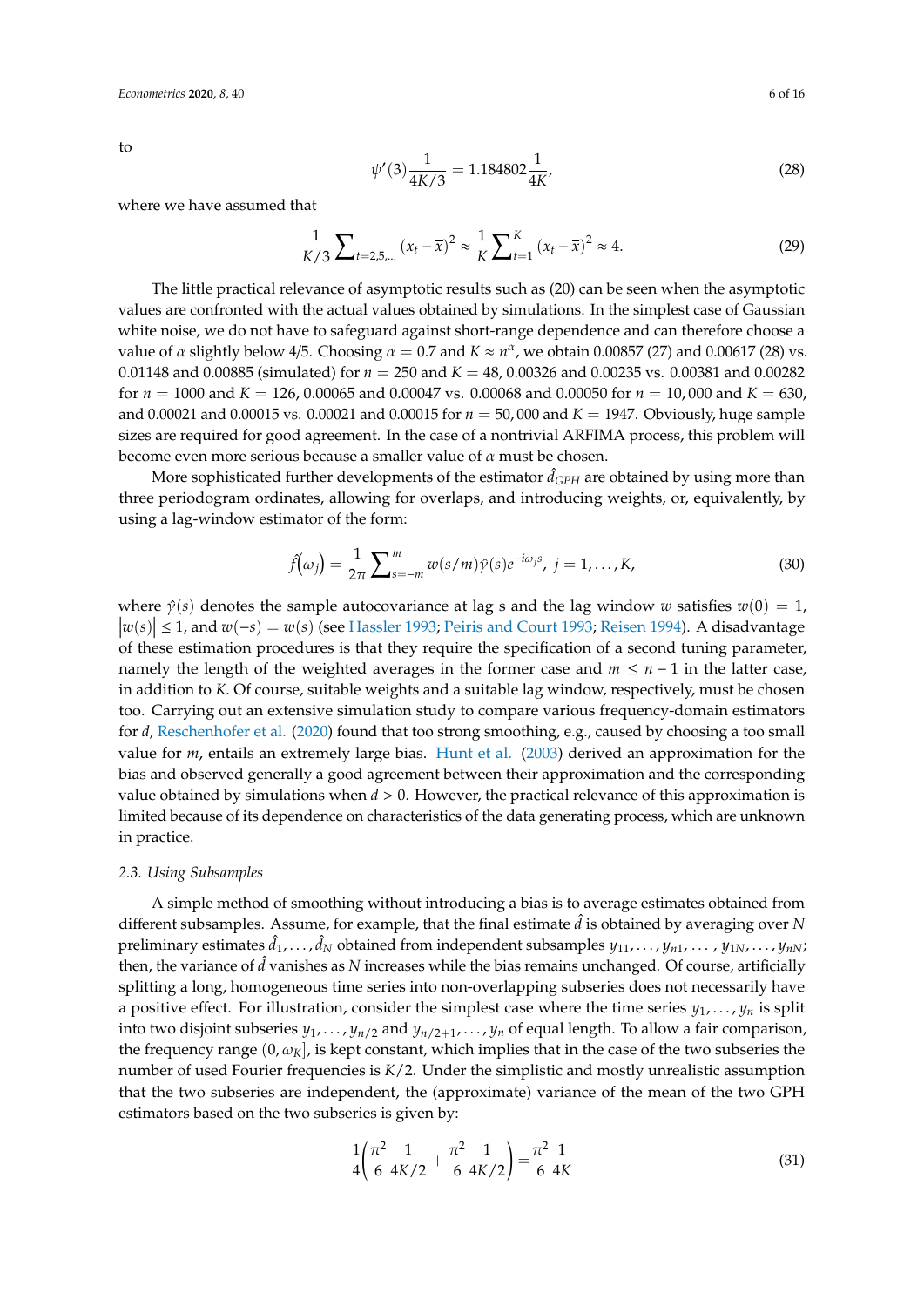to

$$
\psi'(3)\frac{1}{4K/3} = 1.184802\frac{1}{4K'},\tag{28}
$$

where we have assumed that

$$
\frac{1}{K/3} \sum_{t=2,5,\dots} (x_t - \overline{x})^2 \approx \frac{1}{K} \sum_{t=1}^K (x_t - \overline{x})^2 \approx 4.
$$
 (29)

The little practical relevance of asymptotic results such as (20) can be seen when the asymptotic values are confronted with the actual values obtained by simulations. In the simplest case of Gaussian white noise, we do not have to safeguard against short-range dependence and can therefore choose a value of  $\alpha$  slightly below 4/5. Choosing  $\alpha = 0.7$  and  $K \approx n^{\alpha}$ , we obtain 0.00857 (27) and 0.00617 (28) vs. 0.01148 and 0.00885 (simulated) for *n* = 250 and *K* = 48, 0.00326 and 0.00235 vs. 0.00381 and 0.00282 for *n* = 1000 and *K* = 126, 0.00065 and 0.00047 vs. 0.00068 and 0.00050 for *n* = 10, 000 and *K* = 630, and 0.00021 and 0.00015 vs. 0.00021 and 0.00015 for *n* = 50, 000 and *K* = 1947. Obviously, huge sample sizes are required for good agreement. In the case of a nontrivial ARFIMA process, this problem will become even more serious because a smaller value of  $\alpha$  must be chosen.

More sophisticated further developments of the estimator  $\hat{d}_{GPH}$  are obtained by using more than three periodogram ordinates, allowing for overlaps, and introducing weights, or, equivalently, by using a lag-window estimator of the form:

$$
\hat{f}(\omega_j) = \frac{1}{2\pi} \sum_{s=-m}^{m} w(s/m)\hat{\gamma}(s)e^{-i\omega_j s}, \ j = 1, ..., K,
$$
\n(30)

where  $\hat{\gamma}(s)$  denotes the sample autocovariance at lag s and the lag window *w* satisfies  $w(0) = 1$ , *w*(*s*) ≤ 1, and *w*(−*s*) = *w*(*s*) (see [Hassler](#page-14-8) [1993;](#page-14-9) [Peiris and Court](#page-14-9) 1993; [Reisen](#page-14-10) [1994\)](#page-14-10). A disadvantage of these estimation procedures is that they require the specification of a second tuning parameter, namely the length of the weighted averages in the former case and  $m \leq n - 1$  in the latter case, in addition to *K*. Of course, suitable weights and a suitable lag window, respectively, must be chosen too. Carrying out an extensive simulation study to compare various frequency-domain estimators for *d*, [Reschenhofer et al.](#page-14-17) [\(2020\)](#page-14-17) found that too strong smoothing, e.g., caused by choosing a too small value for *m*, entails an extremely large bias. [Hunt et al.](#page-14-22) [\(2003\)](#page-14-22) derived an approximation for the bias and observed generally a good agreement between their approximation and the corresponding value obtained by simulations when *d* > 0. However, the practical relevance of this approximation is limited because of its dependence on characteristics of the data generating process, which are unknown in practice.

#### *2.3. Using Subsamples*

A simple method of smoothing without introducing a bias is to average estimates obtained from different subsamples. Assume, for example, that the final estimate  $\hat{d}$  is obtained by averaging over *N* preliminary estimates  $\hat{d}_1$ , . . . ,  $\hat{d}_N$  obtained from independent subsamples  $y_{11}$ , . . . ,  $y_{n1}$ , . . . . ,  $y_{1N}$ , . . . ,  $y_{nN}$ ; then, the variance of  $\hat{d}$  vanishes as N increases while the bias remains unchanged. Of course, artificially splitting a long, homogeneous time series into non-overlapping subseries does not necessarily have a positive effect. For illustration, consider the simplest case where the time series  $y_1, \ldots, y_n$  is split into two disjoint subseries *y*1, . . . , *yn*/2 and *yn*/2+<sup>1</sup> , . . . , *y<sup>n</sup>* of equal length. To allow a fair comparison, the frequency range  $(0, \omega_K)$ , is kept constant, which implies that in the case of the two subseries the number of used Fourier frequencies is *K*/2. Under the simplistic and mostly unrealistic assumption that the two subseries are independent, the (approximate) variance of the mean of the two GPH estimators based on the two subseries is given by:

$$
\frac{1}{4} \left( \frac{\pi^2}{6} \frac{1}{4K/2} + \frac{\pi^2}{6} \frac{1}{4K/2} \right) = \frac{\pi^2}{6} \frac{1}{4K}
$$
\n(31)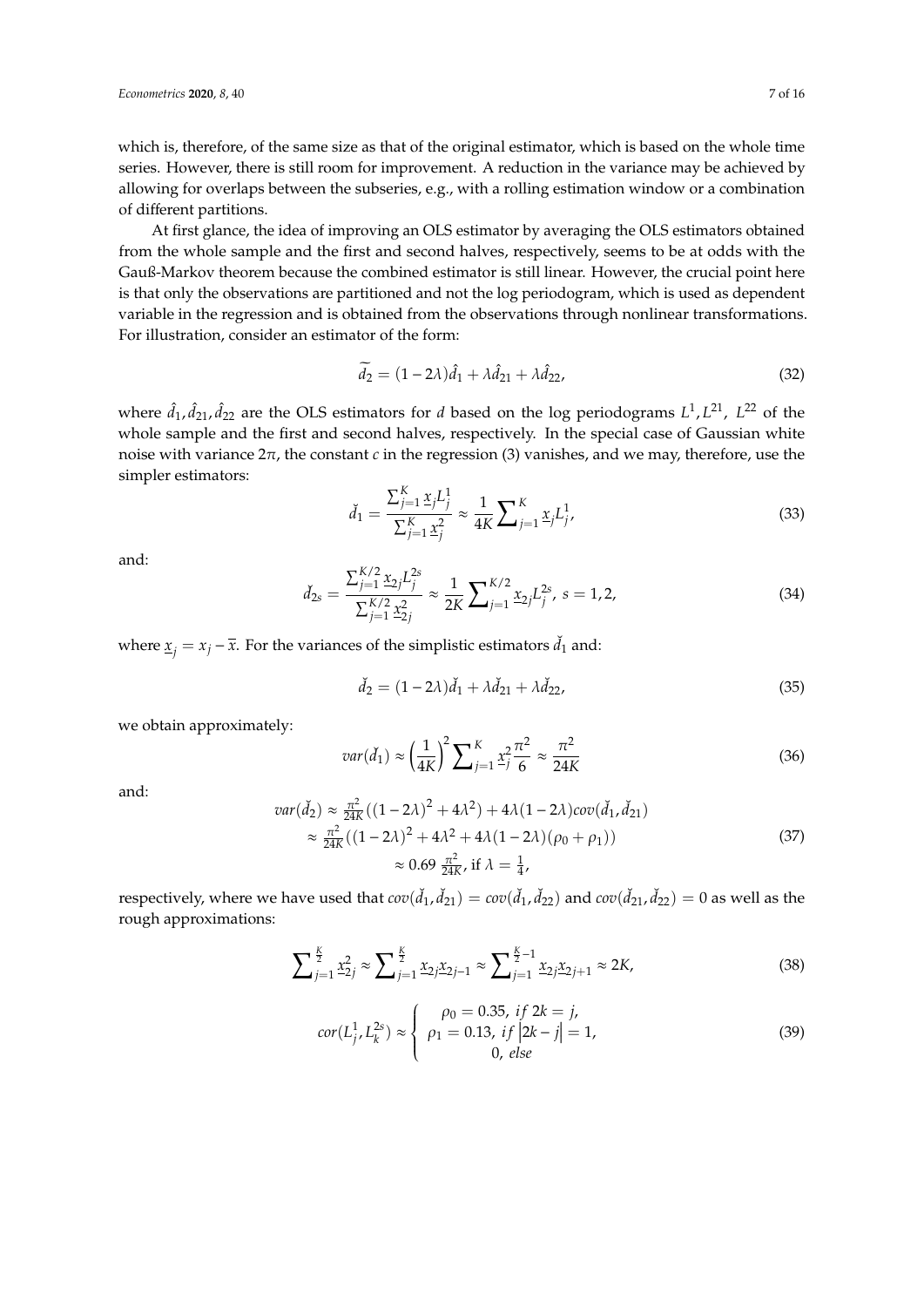which is, therefore, of the same size as that of the original estimator, which is based on the whole time series. However, there is still room for improvement. A reduction in the variance may be achieved by allowing for overlaps between the subseries, e.g., with a rolling estimation window or a combination of different partitions.

At first glance, the idea of improving an OLS estimator by averaging the OLS estimators obtained from the whole sample and the first and second halves, respectively, seems to be at odds with the Gauß-Markov theorem because the combined estimator is still linear. However, the crucial point here is that only the observations are partitioned and not the log periodogram, which is used as dependent variable in the regression and is obtained from the observations through nonlinear transformations. For illustration, consider an estimator of the form:

$$
\widetilde{d_2} = (1 - 2\lambda)\widehat{d_1} + \lambda \widehat{d}_{21} + \lambda \widehat{d}_{22},\tag{32}
$$

where  $\hat{d}_1$ ,  $\hat{d}_{21}$ ,  $\hat{d}_{22}$  are the OLS estimators for *d* based on the log periodograms  $L^1$ ,  $L^{21}$ ,  $L^{22}$  of the whole sample and the first and second halves, respectively. In the special case of Gaussian white noise with variance 2π, the constant *c* in the regression (3) vanishes, and we may, therefore, use the simpler estimators:

$$
\breve{d}_1 = \frac{\sum_{j=1}^K \underline{x}_j L_j^1}{\sum_{j=1}^K \underline{x}_j^2} \approx \frac{1}{4K} \sum_{j=1}^K \underline{x}_j L_j^1,\tag{33}
$$

and:

$$
\breve{d}_{2s} = \frac{\sum_{j=1}^{K/2} x_{2j} L_j^{2s}}{\sum_{j=1}^{K/2} x_{2j}^2} \approx \frac{1}{2K} \sum_{j=1}^{K/2} x_{2j} L_j^{2s}, \ s = 1, 2,
$$
\n(34)

where  $\underline{x}_i = x_i - \overline{x}$ . For the variances of the simplistic estimators  $\overrightarrow{d}_1$  and:

$$
\breve{d}_2 = (1 - 2\lambda)\breve{d}_1 + \lambda \breve{d}_{21} + \lambda \breve{d}_{22},\tag{35}
$$

we obtain approximately:

$$
var(\check{d}_1) \approx \left(\frac{1}{4K}\right)^2 \sum_{j=1}^K \frac{x_j^2}{j} \frac{\pi^2}{6} \approx \frac{\pi^2}{24K}
$$
 (36)

and:

$$
var(\vec{d}_2) \approx \frac{\pi^2}{24K}((1 - 2\lambda)^2 + 4\lambda^2) + 4\lambda(1 - 2\lambda)cov(\vec{d}_1, \vec{d}_{21})
$$
  
 
$$
\approx \frac{\pi^2}{24K}((1 - 2\lambda)^2 + 4\lambda^2 + 4\lambda(1 - 2\lambda)(\rho_0 + \rho_1))
$$
  
 
$$
\approx 0.69 \frac{\pi^2}{24K}, \text{ if } \lambda = \frac{1}{4},
$$
 (37)

respectively, where we have used that  $cov(\check{d}_1,\check{d}_{21})= cov(\check{d}_1,\check{d}_{22})$  and  $cov(\check{d}_{21},\check{d}_{22})=0$  as well as the rough approximations:

$$
\sum_{j=1}^{\frac{K}{2}} \underline{x}_{2j}^2 \approx \sum_{j=1}^{\frac{K}{2}} \underline{x}_{2j} \underline{x}_{2j-1} \approx \sum_{j=1}^{\frac{K}{2}-1} \underline{x}_{2j} \underline{x}_{2j+1} \approx 2K,\tag{38}
$$

$$
cor(L_j^1, L_k^{2s}) \approx \begin{cases} \rho_0 = 0.35, & \text{if } 2k = j, \\ \rho_1 = 0.13, & \text{if } |2k - j| = 1, \\ 0, & \text{else} \end{cases}
$$
 (39)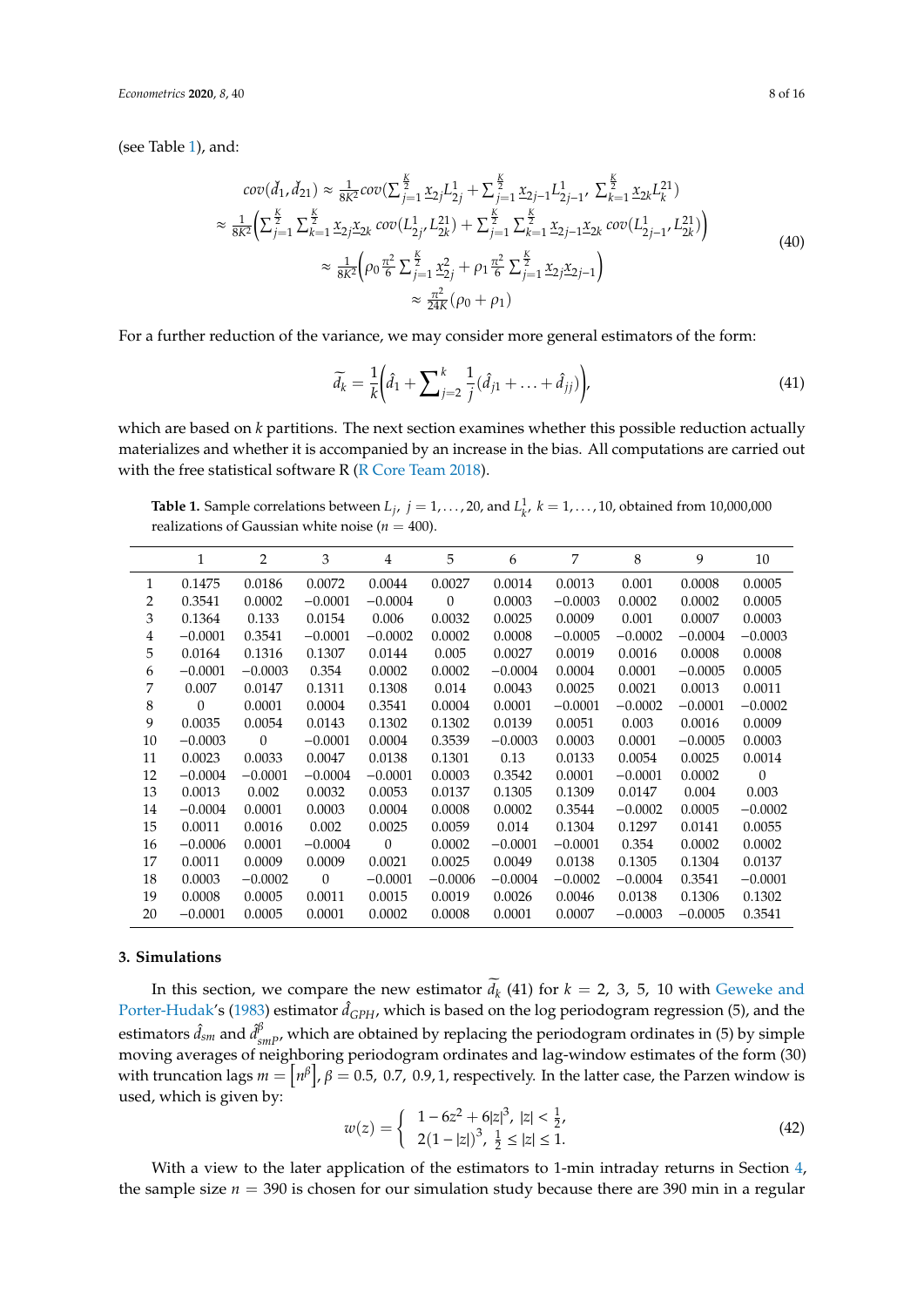(see Table [1\)](#page-7-1), and:

$$
cov(\vec{d}_1, \vec{d}_{21}) \approx \frac{1}{8K^2} cov(\sum_{j=1}^{\frac{K}{2}} \underline{x}_{2j} L_{2j}^1 + \sum_{j=1}^{\frac{K}{2}} \underline{x}_{2j-1} L_{2j-1}^1, \sum_{k=1}^{\frac{K}{2}} \underline{x}_{2k} L_k^{21})
$$
  
\n
$$
\approx \frac{1}{8K^2} \Biggl( \sum_{j=1}^{\frac{K}{2}} \sum_{k=1}^{\frac{K}{2}} \underline{x}_{2j} \underline{x}_{2k} cov(L_{2j}^1, L_{2k}^{21}) + \sum_{j=1}^{\frac{K}{2}} \sum_{j=1}^{\frac{K}{2}} \underline{x}_{2j-1} \underline{x}_{2k} cov(L_{2j-1}^1, L_{2k}^{21}) \Biggr)
$$
  
\n
$$
\approx \frac{1}{8K^2} \Biggl( \rho_0 \frac{\pi^2}{6} \sum_{j=1}^{\frac{K}{2}} \underline{x}_{2j}^2 + \rho_1 \frac{\pi^2}{6} \sum_{j=1}^{\frac{K}{2}} \underline{x}_{2j} \underline{x}_{2j-1} \Biggr)
$$
  
\n
$$
\approx \frac{\pi^2}{24K} (\rho_0 + \rho_1)
$$
 (40)

For a further reduction of the variance, we may consider more general estimators of the form:

$$
\widetilde{d}_k = \frac{1}{k} \left( \widehat{d}_1 + \sum_{j=2}^k \frac{1}{j} (\widehat{d}_{j1} + \dots + \widehat{d}_{jj}) \right),\tag{41}
$$

which are based on *k* partitions. The next section examines whether this possible reduction actually materializes and whether it is accompanied by an increase in the bias. All computations are carried out with the free statistical software R [\(R Core Team](#page-14-23) [2018\)](#page-14-23).

<span id="page-7-1"></span>**Table 1.** Sample correlations between  $L_j$ ,  $j = 1, ..., 20$ , and  $L_{k'}^1$ ,  $k = 1, ..., 10$ , obtained from 10,000,000 realizations of Gaussian white noise ( $n = 400$ ).

|                | 1         | $\overline{2}$ | 3         | $\overline{4}$ | 5         | 6         | 7         | 8         | 9         | 10        |
|----------------|-----------|----------------|-----------|----------------|-----------|-----------|-----------|-----------|-----------|-----------|
| 1              | 0.1475    | 0.0186         | 0.0072    | 0.0044         | 0.0027    | 0.0014    | 0.0013    | 0.001     | 0.0008    | 0.0005    |
| 2              | 0.3541    | 0.0002         | $-0.0001$ | $-0.0004$      | $\theta$  | 0.0003    | $-0.0003$ | 0.0002    | 0.0002    | 0.0005    |
| 3              | 0.1364    | 0.133          | 0.0154    | 0.006          | 0.0032    | 0.0025    | 0.0009    | 0.001     | 0.0007    | 0.0003    |
| $\overline{4}$ | $-0.0001$ | 0.3541         | $-0.0001$ | $-0.0002$      | 0.0002    | 0.0008    | $-0.0005$ | $-0.0002$ | $-0.0004$ | $-0.0003$ |
| 5              | 0.0164    | 0.1316         | 0.1307    | 0.0144         | 0.005     | 0.0027    | 0.0019    | 0.0016    | 0.0008    | 0.0008    |
| 6              | $-0.0001$ | $-0.0003$      | 0.354     | 0.0002         | 0.0002    | $-0.0004$ | 0.0004    | 0.0001    | $-0.0005$ | 0.0005    |
| 7              | 0.007     | 0.0147         | 0.1311    | 0.1308         | 0.014     | 0.0043    | 0.0025    | 0.0021    | 0.0013    | 0.0011    |
| 8              | $\Omega$  | 0.0001         | 0.0004    | 0.3541         | 0.0004    | 0.0001    | $-0.0001$ | $-0.0002$ | $-0.0001$ | $-0.0002$ |
| 9              | 0.0035    | 0.0054         | 0.0143    | 0.1302         | 0.1302    | 0.0139    | 0.0051    | 0.003     | 0.0016    | 0.0009    |
| 10             | $-0.0003$ | $\theta$       | $-0.0001$ | 0.0004         | 0.3539    | $-0.0003$ | 0.0003    | 0.0001    | $-0.0005$ | 0.0003    |
| 11             | 0.0023    | 0.0033         | 0.0047    | 0.0138         | 0.1301    | 0.13      | 0.0133    | 0.0054    | 0.0025    | 0.0014    |
| 12             | $-0.0004$ | $-0.0001$      | $-0.0004$ | $-0.0001$      | 0.0003    | 0.3542    | 0.0001    | $-0.0001$ | 0.0002    | $\Omega$  |
| 13             | 0.0013    | 0.002          | 0.0032    | 0.0053         | 0.0137    | 0.1305    | 0.1309    | 0.0147    | 0.004     | 0.003     |
| 14             | $-0.0004$ | 0.0001         | 0.0003    | 0.0004         | 0.0008    | 0.0002    | 0.3544    | $-0.0002$ | 0.0005    | $-0.0002$ |
| 15             | 0.0011    | 0.0016         | 0.002     | 0.0025         | 0.0059    | 0.014     | 0.1304    | 0.1297    | 0.0141    | 0.0055    |
| 16             | $-0.0006$ | 0.0001         | $-0.0004$ | $\theta$       | 0.0002    | $-0.0001$ | $-0.0001$ | 0.354     | 0.0002    | 0.0002    |
| 17             | 0.0011    | 0.0009         | 0.0009    | 0.0021         | 0.0025    | 0.0049    | 0.0138    | 0.1305    | 0.1304    | 0.0137    |
| 18             | 0.0003    | $-0.0002$      | $\theta$  | $-0.0001$      | $-0.0006$ | $-0.0004$ | $-0.0002$ | $-0.0004$ | 0.3541    | $-0.0001$ |
| 19             | 0.0008    | 0.0005         | 0.0011    | 0.0015         | 0.0019    | 0.0026    | 0.0046    | 0.0138    | 0.1306    | 0.1302    |
| 20             | $-0.0001$ | 0.0005         | 0.0001    | 0.0002         | 0.0008    | 0.0001    | 0.0007    | $-0.0003$ | $-0.0005$ | 0.3541    |

## <span id="page-7-0"></span>**3. Simulations**

In this section, we compare the new estimator  $d_k$  (41) for  $k = 2, 3, 5, 10$  with [Geweke and](#page-13-3) [Porter-Hudak'](#page-13-3)s [\(1983\)](#page-13-3) estimator  $\hat{d}_{GPH}$ , which is based on the log periodogram regression (5), and the estimators  $\hat{d}_{sm}$  and  $\hat{d}_{smP}^{\beta}$ , which are obtained by replacing the periodogram ordinates in (5) by simple moving averages of neighboring periodogram ordinates and lag-window estimates of the form (30) with truncation lags  $m = [n^{\beta}], \beta = 0.5, 0.7, 0.9, 1$ , respectively. In the latter case, the Parzen window is used, which is given by:

$$
w(z) = \begin{cases} 1 - 6z^2 + 6|z|^3, \ |z| < \frac{1}{2}, \\ 2(1 - |z|)^3, \ \frac{1}{2} \le |z| \le 1. \end{cases} \tag{42}
$$

With a view to the later application of the estimators to 1-min intraday returns in Section [4,](#page-10-0) the sample size  $n = 390$  is chosen for our simulation study because there are 390 min in a regular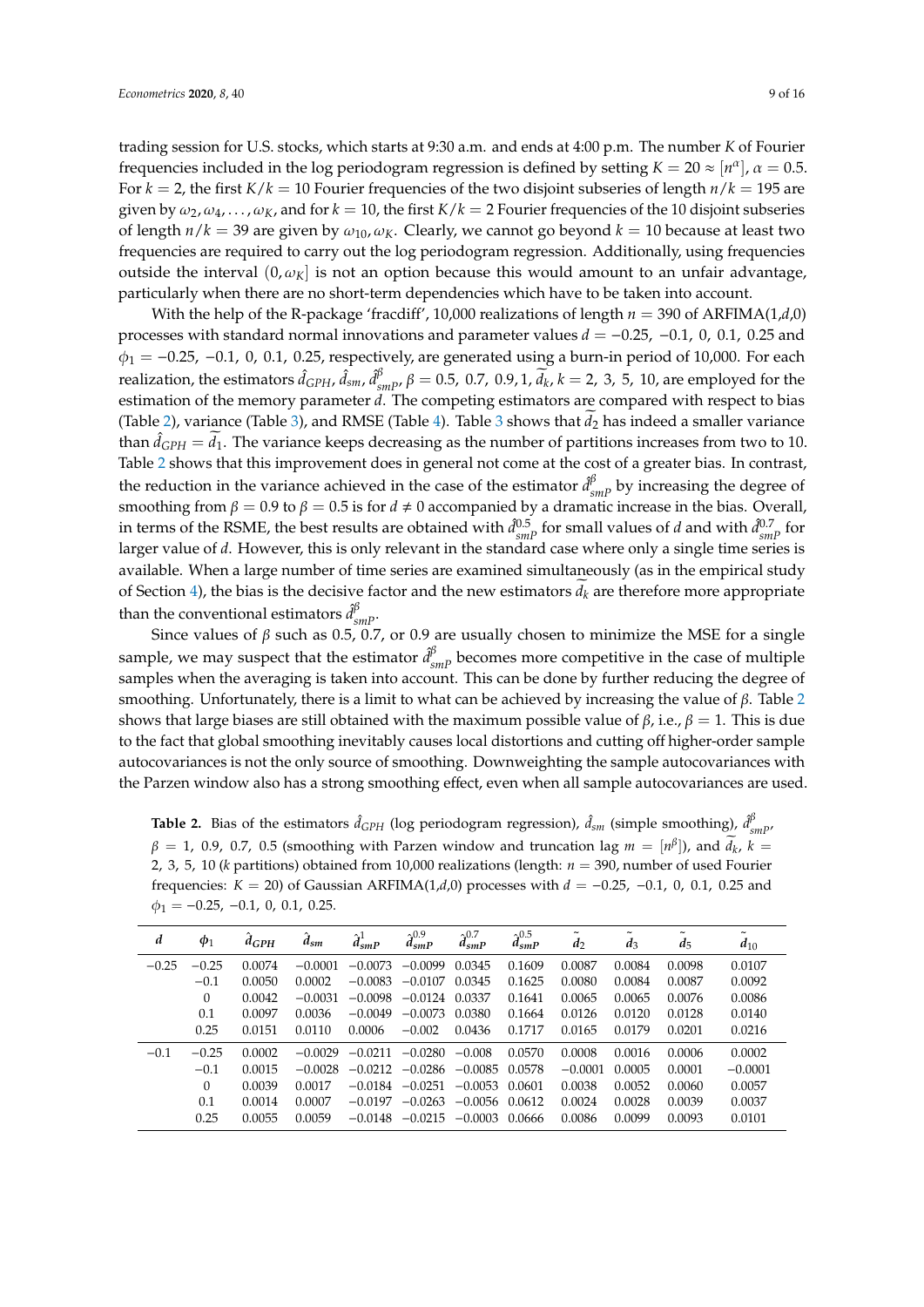trading session for U.S. stocks, which starts at 9:30 a.m. and ends at 4:00 p.m. The number *K* of Fourier frequencies included in the log periodogram regression is defined by setting  $K = 20 \approx [n^{\alpha}]$ ,  $\alpha = 0.5$ . For  $k = 2$ , the first  $K/k = 10$  Fourier frequencies of the two disjoint subseries of length  $n/k = 195$  are given by  $\omega_2, \omega_4, \ldots, \omega_K$ , and for  $k = 10$ , the first  $K/k = 2$  Fourier frequencies of the 10 disjoint subseries of length  $n/k = 39$  are given by  $\omega_{10}, \omega_K$ . Clearly, we cannot go beyond  $k = 10$  because at least two frequencies are required to carry out the log periodogram regression. Additionally, using frequencies outside the interval  $(0, \omega_K)$  is not an option because this would amount to an unfair advantage, particularly when there are no short-term dependencies which have to be taken into account.

With the help of the R-package 'fracdiff', 10,000 realizations of length  $n = 390$  of ARFIMA(1,*d*,0) processes with standard normal innovations and parameter values *d* = −0.25, −0.1, 0, 0.1, 0.25 and  $\phi_1 = -0.25$ , -0.1, 0, 0.1, 0.25, respectively, are generated using a burn-in period of 10,000. For each realization, the estimators  $\hat{d}_{GPH}$ ,  $\hat{d}_{sm}$ ,  $\hat{d}_{smP}^{\beta}$ ,  $\beta = 0.5$ , 0.7, 0.9, 1,  $\widetilde{d}_k$ ,  $k = 2$ , 3, 5, 10, are employed for the estimation of the memory parameter *d*. The competing estimators are compared with respect to bias (Table [2\)](#page-9-0), variance (Table [3\)](#page-9-1), and RMSE (Table [4\)](#page-10-1). Table [3](#page-9-1) shows that  $\tilde{d}_2$  has indeed a smaller variance than  $\hat{d}_{GPH} = d_1$ . The variance keeps decreasing as the number of partitions increases from two to 10. Table [2](#page-9-0) shows that this improvement does in general not come at the cost of a greater bias. In contrast, the reduction in the variance achieved in the case of the estimator  $\hat{d}_{smP}^{\beta}$  by increasing the degree of smoothing from  $\beta = 0.9$  to  $\beta = 0.5$  is for  $d \neq 0$  accompanied by a dramatic increase in the bias. Overall, in terms of the RSME, the best results are obtained with  $\hat{d}_{smP}^{0.5}$  for small values of *d* and with  $\hat{d}_{smP}^{0.7}$  for larger value of *d*. However, this is only relevant in the standard case where only a single time series is available. When a large number of time series are examined simultaneously (as in the empirical study of Section [4\)](#page-10-0), the bias is the decisive factor and the new estimators  $d_k$  are therefore more appropriate than the conventional estimators  $\hat{d}_{smP}^{\beta}$ .

Since values of  $\beta$  such as 0.5, 0.7, or 0.9 are usually chosen to minimize the MSE for a single sample, we may suspect that the estimator  $d_{smP}^{\beta}$  becomes more competitive in the case of multiple samples when the averaging is taken into account. This can be done by further reducing the degree of smoothing. Unfortunately, there is a limit to what can be achieved by increasing the value of β. Table [2](#page-9-0) shows that large biases are still obtained with the maximum possible value of  $\beta$ , i.e.,  $\beta = 1$ . This is due to the fact that global smoothing inevitably causes local distortions and cutting off higher-order sample autocovariances is not the only source of smoothing. Downweighting the sample autocovariances with the Parzen window also has a strong smoothing effect, even when all sample autocovariances are used.

**Table 2.** Bias of the estimators  $\hat{d}_{GPH}$  (log periodogram regression),  $\hat{d}_{sm}$  (simple smoothing),  $\hat{d}_{smP}^{\beta}$  $\beta = 1$ , 0.9, 0.7, 0.5 (smoothing with Parzen window and truncation lag  $m = [n^{\beta}]$ ), and  $d_k$ ,  $k =$ 2, 3, 5, 10 (*k* partitions) obtained from 10,000 realizations (length: *n* = 390, number of used Fourier frequencies: *K* = 20) of Gaussian ARFIMA(1,*d*,0) processes with *d* = −0.25, −0.1, 0, 0.1, 0.25 and  $\phi_1 = -0.25, -0.1, 0, 0.1, 0.25.$ 

| d       | $\phi_1$ | $\hat{d}_{GPH}$ | $\hat{d}_{sm}$ | $\hat{d}_{smP}^1$ | $\hat{d}_{smP}^{0.9}$ | $\hat{d}_{smP}^{0.7}$ | $\hat{d}_{smP}^{0.5}$ | $d_2$     | $\tilde{\phantom{a}}$<br>$d_3$ | $\tilde{\phantom{a}}$<br>$d_5$ | $\tilde{\phantom{a}}$<br>$d_{10}$ |
|---------|----------|-----------------|----------------|-------------------|-----------------------|-----------------------|-----------------------|-----------|--------------------------------|--------------------------------|-----------------------------------|
| $-0.25$ | $-0.25$  | 0.0074          | $-0.0001$      | $-0.0073$         | $-0.0099$             | 0.0345                | 0.1609                | 0.0087    | 0.0084                         | 0.0098                         | 0.0107                            |
|         | $-0.1$   | 0.0050          | 0.0002         | $-0.0083$         | $-0.0107$             | 0.0345                | 0.1625                | 0.0080    | 0.0084                         | 0.0087                         | 0.0092                            |
|         | $\theta$ | 0.0042          | $-0.0031$      | $-0.0098$         | $-0.0124$             | 0.0337                | 0.1641                | 0.0065    | 0.0065                         | 0.0076                         | 0.0086                            |
|         | 0.1      | 0.0097          | 0.0036         | $-0.0049$         | $-0.0073$             | 0.0380                | 0.1664                | 0.0126    | 0.0120                         | 0.0128                         | 0.0140                            |
|         | 0.25     | 0.0151          | 0.0110         | 0.0006            | $-0.002$              | 0.0436                | 0.1717                | 0.0165    | 0.0179                         | 0.0201                         | 0.0216                            |
| $-0.1$  | $-0.25$  | 0.0002          | $-0.0029$      | $-0.0211$         | $-0.0280$             | $-0.008$              | 0.0570                | 0.0008    | 0.0016                         | 0.0006                         | 0.0002                            |
|         | $-0.1$   | 0.0015          | $-0.0028$      | $-0.0212$         | $-0.0286$             | $-0.0085$             | 0.0578                | $-0.0001$ | 0.0005                         | 0.0001                         | $-0.0001$                         |
|         | $\Omega$ | 0.0039          | 0.0017         | $-0.0184$         | $-0.0251$             | $-0.0053$             | 0.0601                | 0.0038    | 0.0052                         | 0.0060                         | 0.0057                            |
|         | 0.1      | 0.0014          | 0.0007         | $-0.0197$         | $-0.0263$             | $-0.0056$             | 0.0612                | 0.0024    | 0.0028                         | 0.0039                         | 0.0037                            |
|         | 0.25     | 0.0055          | 0.0059         | $-0.0148$         | $-0.0215$             | $-0.0003$             | 0.0666                | 0.0086    | 0.0099                         | 0.0093                         | 0.0101                            |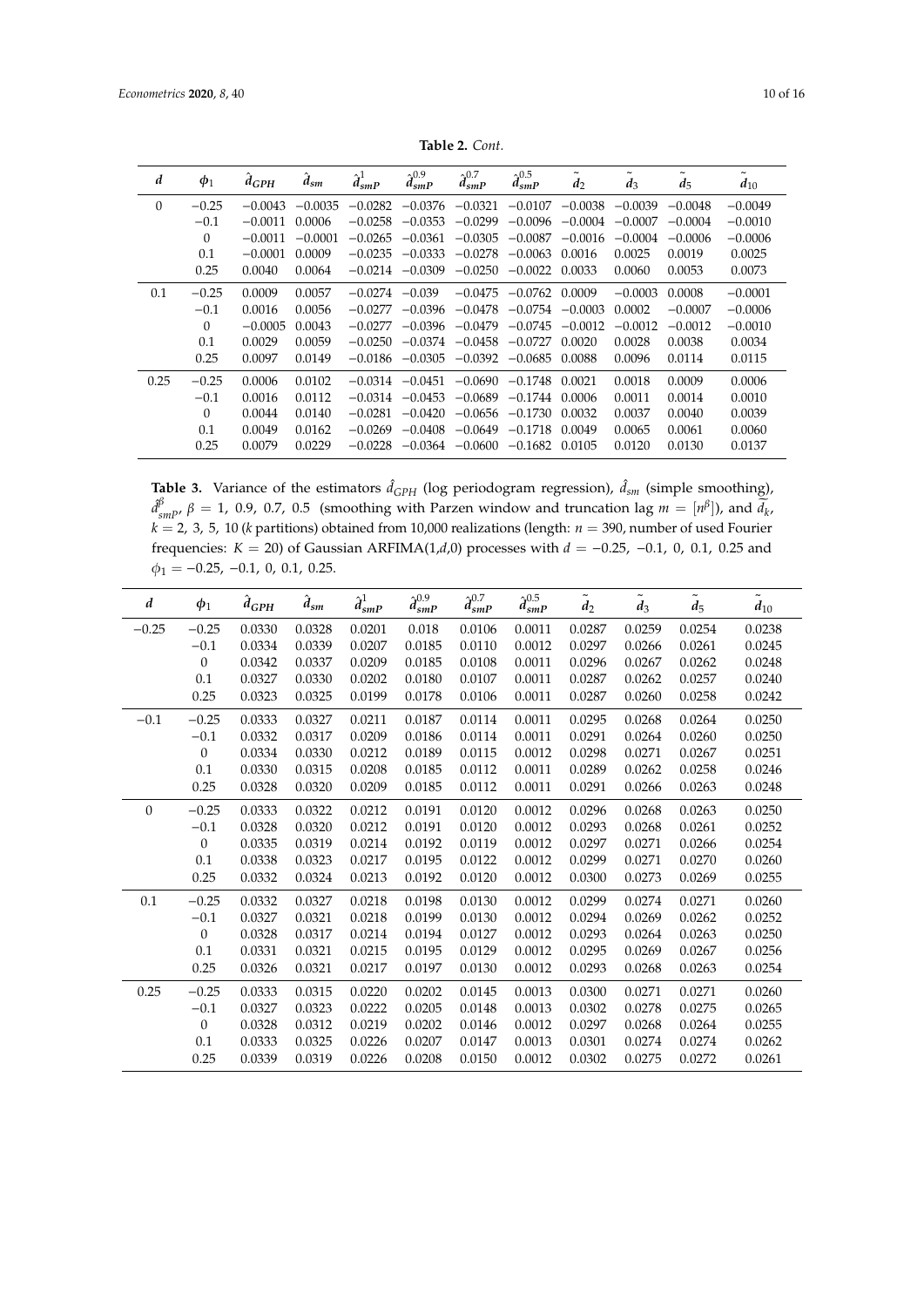| Table 2. Cont. |  |
|----------------|--|
|----------------|--|

<span id="page-9-0"></span>

| d            | $\phi_1$ | $\hat{d}_{\mathbf{GPH}}$ | $\hat{d}_{sm}$ | $\hat{d}_{smP}^1$ | $\hat{d}_{smP}^{0.9}$ | $\hat{d}_{smP}^{0.7}$ | $\gamma$ 0.5<br>$d_{smP}$ | $\tilde{\phantom{a}}$<br>$d_2$ | $\tilde{\phantom{a}}$<br>$d_3$ | $\tilde{\phantom{a}}$<br>$d_5$ | $\tilde{\phantom{a}}$<br>$d_{10}$ |
|--------------|----------|--------------------------|----------------|-------------------|-----------------------|-----------------------|---------------------------|--------------------------------|--------------------------------|--------------------------------|-----------------------------------|
| $\mathbf{0}$ | $-0.25$  | $-0.0043$                | $-0.0035$      | $-0.0282$         | $-0.0376$             | $-0.0321$             | $-0.0107$                 | $-0.0038$                      | $-0.0039$                      | $-0.0048$                      | $-0.0049$                         |
|              | $-0.1$   | $-0.0011$                | 0.0006         | $-0.0258$         | $-0.0353$             | $-0.0299$             | $-0.0096$                 | $-0.0004$                      | $-0.0007$                      | $-0.0004$                      | $-0.0010$                         |
|              | $\theta$ | $-0.0011$                | $-0.0001$      | $-0.0265$         | $-0.0361$             | $-0.0305$             | $-0.0087$                 | $-0.0016$                      | $-0.0004$                      | $-0.0006$                      | $-0.0006$                         |
|              | 0.1      | $-0.0001$                | 0.0009         | $-0.0235$         | $-0.0333$             | $-0.0278$             | $-0.0063$                 | 0.0016                         | 0.0025                         | 0.0019                         | 0.0025                            |
|              | 0.25     | 0.0040                   | 0.0064         | $-0.0214$         | $-0.0309$             | $-0.0250$             | $-0.0022$                 | 0.0033                         | 0.0060                         | 0.0053                         | 0.0073                            |
| 0.1          | $-0.25$  | 0.0009                   | 0.0057         | $-0.0274$         | $-0.039$              | $-0.0475$             | $-0.0762$                 | 0.0009                         | $-0.0003$                      | 0.0008                         | $-0.0001$                         |
|              | $-0.1$   | 0.0016                   | 0.0056         | $-0.0277$         | $-0.0396$             | $-0.0478$             | $-0.0754$                 | $-0.0003$                      | 0.0002                         | $-0.0007$                      | $-0.0006$                         |
|              | $\Omega$ | $-0.0005$                | 0.0043         | $-0.0277$         | $-0.0396$             | $-0.0479$             | $-0.0745$                 | $-0.0012$                      | $-0.0012$                      | $-0.0012$                      | $-0.0010$                         |
|              | 0.1      | 0.0029                   | 0.0059         | $-0.0250$         | $-0.0374$             | $-0.0458$             | $-0.0727$                 | 0.0020                         | 0.0028                         | 0.0038                         | 0.0034                            |
|              | 0.25     | 0.0097                   | 0.0149         | $-0.0186$         | $-0.0305$             | $-0.0392$             | $-0.0685$                 | 0.0088                         | 0.0096                         | 0.0114                         | 0.0115                            |
| 0.25         | $-0.25$  | 0.0006                   | 0.0102         | $-0.0314$         | $-0.0451$             | $-0.0690$             | $-0.1748$                 | 0.0021                         | 0.0018                         | 0.0009                         | 0.0006                            |
|              | $-0.1$   | 0.0016                   | 0.0112         | $-0.0314$         | $-0.0453$             | $-0.0689$             | $-0.1744$                 | 0.0006                         | 0.0011                         | 0.0014                         | 0.0010                            |
|              | $\theta$ | 0.0044                   | 0.0140         | $-0.0281$         | $-0.0420$             | $-0.0656$             | $-0.1730$                 | 0.0032                         | 0.0037                         | 0.0040                         | 0.0039                            |
|              | 0.1      | 0.0049                   | 0.0162         | $-0.0269$         | $-0.0408$             | $-0.0649$             | $-0.1718$                 | 0.0049                         | 0.0065                         | 0.0061                         | 0.0060                            |
|              | 0.25     | 0.0079                   | 0.0229         | $-0.0228$         | $-0.0364$             | $-0.0600$             | $-0.1682$                 | 0.0105                         | 0.0120                         | 0.0130                         | 0.0137                            |

<span id="page-9-1"></span>**Table 3.** Variance of the estimators  $\hat{d}_{GPH}$  (log periodogram regression),  $\hat{d}_{sm}$  (simple smoothing),  $d_{smP}^{\beta}$ , β = 1, 0.9, 0.7, 0.5 (smoothing with Parzen window and truncation lag  $m = [n^{\beta}]$ ), and  $d_{k}$ ,  $k = 2$ , 3, 5, 10 ( $k$  partitions) obtained from 10,000 realizations (length:  $n = 390$ , number of used Fourier frequencies: *K* = 20) of Gaussian ARFIMA(1,*d*,0) processes with *d* = −0.25, −0.1, 0, 0.1, 0.25 and  $\phi_1 = -0.25, -0.1, 0, 0.1, 0.25.$ 

| d        | $\phi_1$     | $\hat{d}_{GPH}$ | $\hat{d}_{sm}$ | $\hat{d}_{smP}^1$ | $\hat{d}_{smP}^{0.9}$ | $\hat{d}_{smP}^{0.7}$ | $\hat{d}_{smP}^{0.5}$ | $\thicksim$<br>$d_2$ | $\thicksim$<br>$d_3$ | $\tilde{}$<br>$d_5$ | $\thicksim$<br>$d_{10}$ |
|----------|--------------|-----------------|----------------|-------------------|-----------------------|-----------------------|-----------------------|----------------------|----------------------|---------------------|-------------------------|
| $-0.25$  | $-0.25$      | 0.0330          | 0.0328         | 0.0201            | 0.018                 | 0.0106                | 0.0011                | 0.0287               | 0.0259               | 0.0254              | 0.0238                  |
|          | $-0.1$       | 0.0334          | 0.0339         | 0.0207            | 0.0185                | 0.0110                | 0.0012                | 0.0297               | 0.0266               | 0.0261              | 0.0245                  |
|          | $\Omega$     | 0.0342          | 0.0337         | 0.0209            | 0.0185                | 0.0108                | 0.0011                | 0.0296               | 0.0267               | 0.0262              | 0.0248                  |
|          | 0.1          | 0.0327          | 0.0330         | 0.0202            | 0.0180                | 0.0107                | 0.0011                | 0.0287               | 0.0262               | 0.0257              | 0.0240                  |
|          | 0.25         | 0.0323          | 0.0325         | 0.0199            | 0.0178                | 0.0106                | 0.0011                | 0.0287               | 0.0260               | 0.0258              | 0.0242                  |
| $-0.1$   | $-0.25$      | 0.0333          | 0.0327         | 0.0211            | 0.0187                | 0.0114                | 0.0011                | 0.0295               | 0.0268               | 0.0264              | 0.0250                  |
|          | $-0.1$       | 0.0332          | 0.0317         | 0.0209            | 0.0186                | 0.0114                | 0.0011                | 0.0291               | 0.0264               | 0.0260              | 0.0250                  |
|          | $\theta$     | 0.0334          | 0.0330         | 0.0212            | 0.0189                | 0.0115                | 0.0012                | 0.0298               | 0.0271               | 0.0267              | 0.0251                  |
|          | 0.1          | 0.0330          | 0.0315         | 0.0208            | 0.0185                | 0.0112                | 0.0011                | 0.0289               | 0.0262               | 0.0258              | 0.0246                  |
|          | 0.25         | 0.0328          | 0.0320         | 0.0209            | 0.0185                | 0.0112                | 0.0011                | 0.0291               | 0.0266               | 0.0263              | 0.0248                  |
| $\theta$ | $-0.25$      | 0.0333          | 0.0322         | 0.0212            | 0.0191                | 0.0120                | 0.0012                | 0.0296               | 0.0268               | 0.0263              | 0.0250                  |
|          | $-0.1$       | 0.0328          | 0.0320         | 0.0212            | 0.0191                | 0.0120                | 0.0012                | 0.0293               | 0.0268               | 0.0261              | 0.0252                  |
|          | $\theta$     | 0.0335          | 0.0319         | 0.0214            | 0.0192                | 0.0119                | 0.0012                | 0.0297               | 0.0271               | 0.0266              | 0.0254                  |
|          | 0.1          | 0.0338          | 0.0323         | 0.0217            | 0.0195                | 0.0122                | 0.0012                | 0.0299               | 0.0271               | 0.0270              | 0.0260                  |
|          | 0.25         | 0.0332          | 0.0324         | 0.0213            | 0.0192                | 0.0120                | 0.0012                | 0.0300               | 0.0273               | 0.0269              | 0.0255                  |
| 0.1      | $-0.25$      | 0.0332          | 0.0327         | 0.0218            | 0.0198                | 0.0130                | 0.0012                | 0.0299               | 0.0274               | 0.0271              | 0.0260                  |
|          | $-0.1$       | 0.0327          | 0.0321         | 0.0218            | 0.0199                | 0.0130                | 0.0012                | 0.0294               | 0.0269               | 0.0262              | 0.0252                  |
|          | $\theta$     | 0.0328          | 0.0317         | 0.0214            | 0.0194                | 0.0127                | 0.0012                | 0.0293               | 0.0264               | 0.0263              | 0.0250                  |
|          | 0.1          | 0.0331          | 0.0321         | 0.0215            | 0.0195                | 0.0129                | 0.0012                | 0.0295               | 0.0269               | 0.0267              | 0.0256                  |
|          | 0.25         | 0.0326          | 0.0321         | 0.0217            | 0.0197                | 0.0130                | 0.0012                | 0.0293               | 0.0268               | 0.0263              | 0.0254                  |
| 0.25     | $-0.25$      | 0.0333          | 0.0315         | 0.0220            | 0.0202                | 0.0145                | 0.0013                | 0.0300               | 0.0271               | 0.0271              | 0.0260                  |
|          | $-0.1$       | 0.0327          | 0.0323         | 0.0222            | 0.0205                | 0.0148                | 0.0013                | 0.0302               | 0.0278               | 0.0275              | 0.0265                  |
|          | $\mathbf{0}$ | 0.0328          | 0.0312         | 0.0219            | 0.0202                | 0.0146                | 0.0012                | 0.0297               | 0.0268               | 0.0264              | 0.0255                  |
|          | 0.1          | 0.0333          | 0.0325         | 0.0226            | 0.0207                | 0.0147                | 0.0013                | 0.0301               | 0.0274               | 0.0274              | 0.0262                  |
|          | 0.25         | 0.0339          | 0.0319         | 0.0226            | 0.0208                | 0.0150                | 0.0012                | 0.0302               | 0.0275               | 0.0272              | 0.0261                  |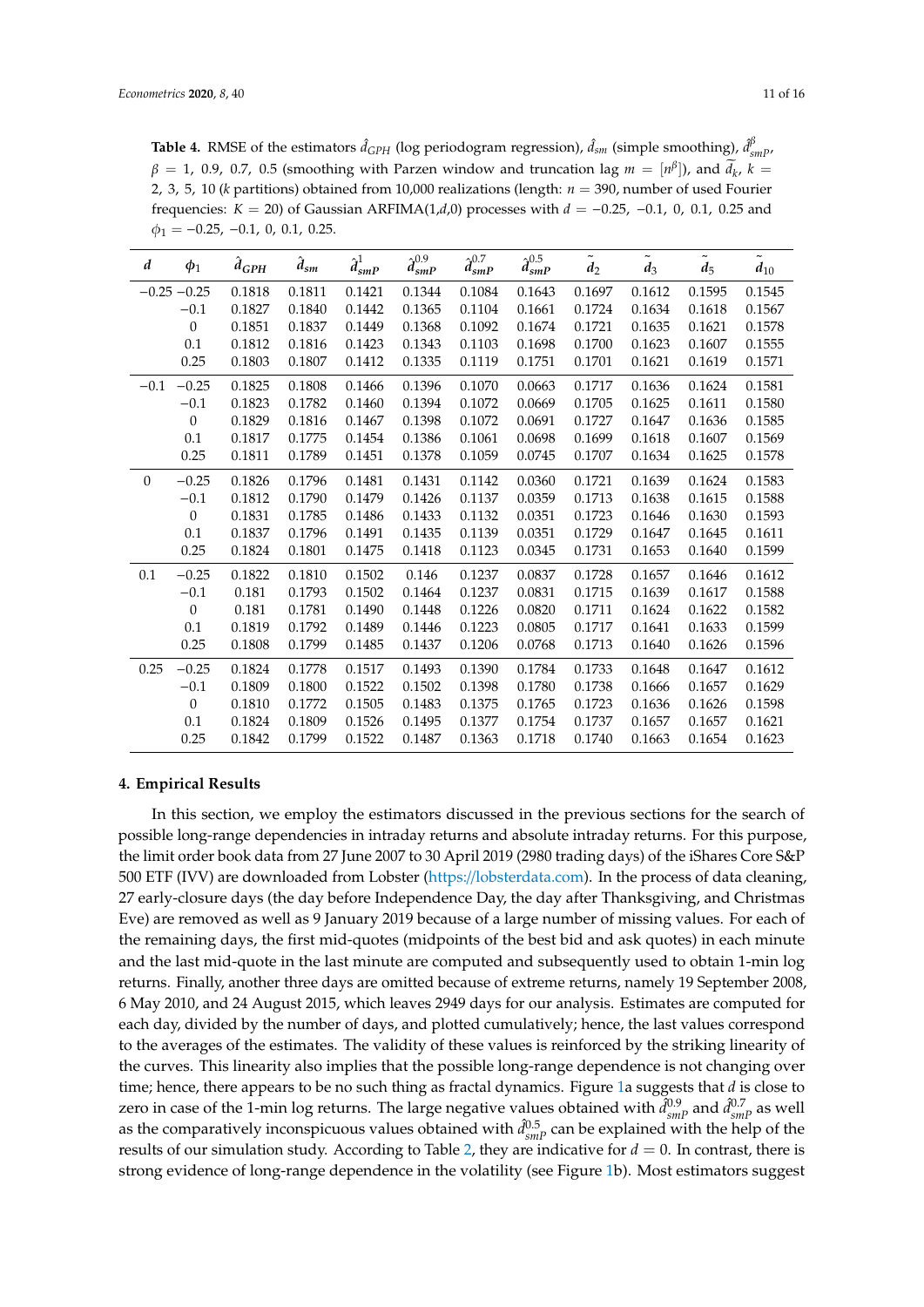<span id="page-10-1"></span>**Table 4.** RMSE of the estimators  $\hat{d}_{GPH}$  (log periodogram regression),  $\hat{d}_{sm}$  (simple smoothing),  $\hat{d}_{smP}^{\beta}$  $\beta = 1$ , 0.9, 0.7, 0.5 (smoothing with Parzen window and truncation lag  $m = [n^{\beta}]$ ), and  $d_k$ ,  $k =$ 2, 3, 5, 10 (*k* partitions) obtained from 10,000 realizations (length: *n* = 390, number of used Fourier frequencies: *K* = 20) of Gaussian ARFIMA(1,*d*,0) processes with *d* = −0.25, −0.1, 0, 0.1, 0.25 and  $\phi_1 = -0.25, -0.1, 0, 0.1, 0.25.$ 

| d        | $\phi_1$         | $\hat{d}_{GPH}$ | $\hat{d}_{sm}$ | $\hat{d}_{smP}^1$ | 20.9<br>$a_{smP}$ | $\sim 0.7$<br>$d_{smP}$ | $\hat{d}_{smP}^{0.5}$ | $\tilde{\phantom{a}}$<br>$d_2$ | $\tilde{\phantom{a}}$<br>$d_3$ | $\thicksim$<br>$d_5$ | $\sim$<br>$d_{10}$ |
|----------|------------------|-----------------|----------------|-------------------|-------------------|-------------------------|-----------------------|--------------------------------|--------------------------------|----------------------|--------------------|
|          | $-0.25 - 0.25$   | 0.1818          | 0.1811         | 0.1421            | 0.1344            | 0.1084                  | 0.1643                | 0.1697                         | 0.1612                         | 0.1595               | 0.1545             |
|          | $-0.1$           | 0.1827          | 0.1840         | 0.1442            | 0.1365            | 0.1104                  | 0.1661                | 0.1724                         | 0.1634                         | 0.1618               | 0.1567             |
|          | $\theta$         | 0.1851          | 0.1837         | 0.1449            | 0.1368            | 0.1092                  | 0.1674                | 0.1721                         | 0.1635                         | 0.1621               | 0.1578             |
|          | 0.1              | 0.1812          | 0.1816         | 0.1423            | 0.1343            | 0.1103                  | 0.1698                | 0.1700                         | 0.1623                         | 0.1607               | 0.1555             |
|          | 0.25             | 0.1803          | 0.1807         | 0.1412            | 0.1335            | 0.1119                  | 0.1751                | 0.1701                         | 0.1621                         | 0.1619               | 0.1571             |
| $-0.1$   | $-0.25$          | 0.1825          | 0.1808         | 0.1466            | 0.1396            | 0.1070                  | 0.0663                | 0.1717                         | 0.1636                         | 0.1624               | 0.1581             |
|          | $-0.1$           | 0.1823          | 0.1782         | 0.1460            | 0.1394            | 0.1072                  | 0.0669                | 0.1705                         | 0.1625                         | 0.1611               | 0.1580             |
|          | $\boldsymbol{0}$ | 0.1829          | 0.1816         | 0.1467            | 0.1398            | 0.1072                  | 0.0691                | 0.1727                         | 0.1647                         | 0.1636               | 0.1585             |
|          | 0.1              | 0.1817          | 0.1775         | 0.1454            | 0.1386            | 0.1061                  | 0.0698                | 0.1699                         | 0.1618                         | 0.1607               | 0.1569             |
|          | 0.25             | 0.1811          | 0.1789         | 0.1451            | 0.1378            | 0.1059                  | 0.0745                | 0.1707                         | 0.1634                         | 0.1625               | 0.1578             |
| $\theta$ | $-0.25$          | 0.1826          | 0.1796         | 0.1481            | 0.1431            | 0.1142                  | 0.0360                | 0.1721                         | 0.1639                         | 0.1624               | 0.1583             |
|          | $-0.1$           | 0.1812          | 0.1790         | 0.1479            | 0.1426            | 0.1137                  | 0.0359                | 0.1713                         | 0.1638                         | 0.1615               | 0.1588             |
|          | $\boldsymbol{0}$ | 0.1831          | 0.1785         | 0.1486            | 0.1433            | 0.1132                  | 0.0351                | 0.1723                         | 0.1646                         | 0.1630               | 0.1593             |
|          | 0.1              | 0.1837          | 0.1796         | 0.1491            | 0.1435            | 0.1139                  | 0.0351                | 0.1729                         | 0.1647                         | 0.1645               | 0.1611             |
|          | 0.25             | 0.1824          | 0.1801         | 0.1475            | 0.1418            | 0.1123                  | 0.0345                | 0.1731                         | 0.1653                         | 0.1640               | 0.1599             |
| 0.1      | $-0.25$          | 0.1822          | 0.1810         | 0.1502            | 0.146             | 0.1237                  | 0.0837                | 0.1728                         | 0.1657                         | 0.1646               | 0.1612             |
|          | $-0.1$           | 0.181           | 0.1793         | 0.1502            | 0.1464            | 0.1237                  | 0.0831                | 0.1715                         | 0.1639                         | 0.1617               | 0.1588             |
|          | $\mathbf{0}$     | 0.181           | 0.1781         | 0.1490            | 0.1448            | 0.1226                  | 0.0820                | 0.1711                         | 0.1624                         | 0.1622               | 0.1582             |
|          | 0.1              | 0.1819          | 0.1792         | 0.1489            | 0.1446            | 0.1223                  | 0.0805                | 0.1717                         | 0.1641                         | 0.1633               | 0.1599             |
|          | 0.25             | 0.1808          | 0.1799         | 0.1485            | 0.1437            | 0.1206                  | 0.0768                | 0.1713                         | 0.1640                         | 0.1626               | 0.1596             |
| 0.25     | $-0.25$          | 0.1824          | 0.1778         | 0.1517            | 0.1493            | 0.1390                  | 0.1784                | 0.1733                         | 0.1648                         | 0.1647               | 0.1612             |
|          | $-0.1$           | 0.1809          | 0.1800         | 0.1522            | 0.1502            | 0.1398                  | 0.1780                | 0.1738                         | 0.1666                         | 0.1657               | 0.1629             |
|          | $\theta$         | 0.1810          | 0.1772         | 0.1505            | 0.1483            | 0.1375                  | 0.1765                | 0.1723                         | 0.1636                         | 0.1626               | 0.1598             |
|          | 0.1              | 0.1824          | 0.1809         | 0.1526            | 0.1495            | 0.1377                  | 0.1754                | 0.1737                         | 0.1657                         | 0.1657               | 0.1621             |
|          | 0.25             | 0.1842          | 0.1799         | 0.1522            | 0.1487            | 0.1363                  | 0.1718                | 0.1740                         | 0.1663                         | 0.1654               | 0.1623             |

## <span id="page-10-0"></span>**4. Empirical Results**

In this section, we employ the estimators discussed in the previous sections for the search of possible long-range dependencies in intraday returns and absolute intraday returns. For this purpose, the limit order book data from 27 June 2007 to 30 April 2019 (2980 trading days) of the iShares Core S&P 500 ETF (IVV) are downloaded from Lobster (https://[lobsterdata.com\)](https://lobsterdata.com). In the process of data cleaning, 27 early-closure days (the day before Independence Day, the day after Thanksgiving, and Christmas Eve) are removed as well as 9 January 2019 because of a large number of missing values. For each of the remaining days, the first mid-quotes (midpoints of the best bid and ask quotes) in each minute and the last mid-quote in the last minute are computed and subsequently used to obtain 1-min log returns. Finally, another three days are omitted because of extreme returns, namely 19 September 2008, 6 May 2010, and 24 August 2015, which leaves 2949 days for our analysis. Estimates are computed for each day, divided by the number of days, and plotted cumulatively; hence, the last values correspond to the averages of the estimates. The validity of these values is reinforced by the striking linearity of the curves. This linearity also implies that the possible long-range dependence is not changing over time; hence, there appears to be no such thing as fractal dynamics. Figure [1a](#page-11-0) suggests that *d* is close to zero in case of the 1-min log returns. The large negative values obtained with  $\hat{d}^{0.9}_{sm}$  and  $\hat{d}^{0.7}_{sm}$  as well as the comparatively inconspicuous values obtained with  $\hat{d}_{smP}^{0.5}$  can be explained with the help of the results of our simulation study. According to Table [2,](#page-9-0) they are indicative for  $d = 0$ . In contrast, there is strong evidence of long-range dependence in the volatility (see Figure [1b](#page-11-0)). Most estimators suggest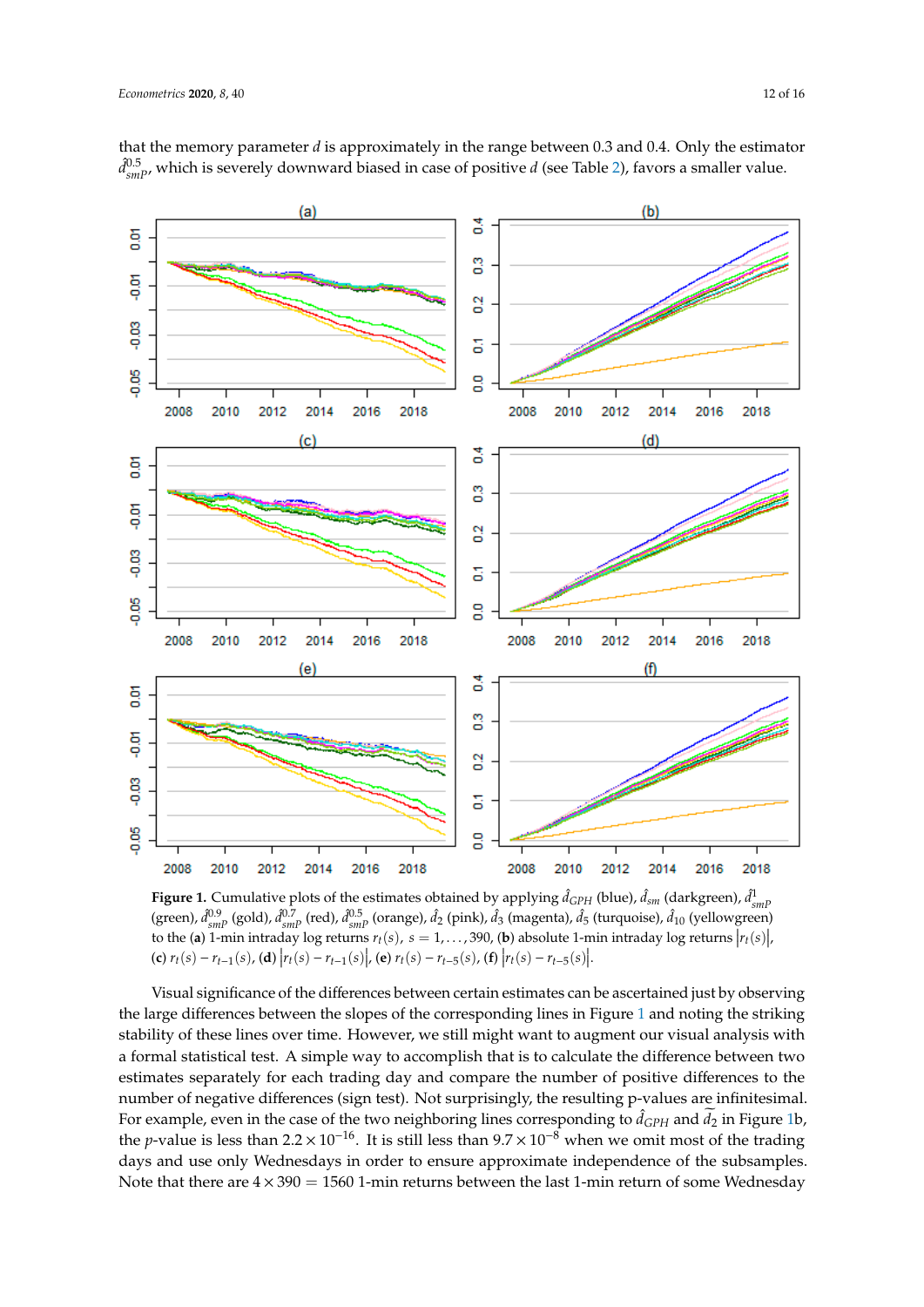<span id="page-11-0"></span>

that the memory parameter *d* is approximately in the range between 0.3 and 0.4. Only the estimator  $\hat{d}^{0.5}_{s m P}$ , which is severely downward biased in case of positive *d* (see Table [2\)](#page-9-0), favors a smaller value.

**Figure 1.** Cumulative plots of the estimates obtained by applying  $\hat{d}_{GPH}$  (blue),  $\hat{d}_{sm}$  (darkgreen),  $\hat{d}_{smP}^1$ green),  $\hat{d}_{emp}^{0.9}$  (gold),  $\hat{d}_{emp}^{0.7}$  (red),  $\hat{d}_{emp}^{0.5}$  (orange),  $\hat{d}_2$  (pink),  $\hat{d}_3$  (magenta),  $\hat{d}_5$  (turquoise),  $\hat{d}_{10}$  (yellowgreen) o the (a) 1-min intraday log returns  $r_t(s)$ ,  $s = 1, ..., 390$ , (b) absolute 1-min intraday log returns  $\overline{r_t(s)}$ , (c)  $r_t(s) - r_{t-1}(s)$ , (d)  $|r_t(s) - r_{t-1}(s)|$ , (e)  $r_t(s) - r_{t-5}(s)$ , (f)  $|r_t(s) - r_{t-5}(s)|$ . (green),  $\hat{d}_{smp}^{0.9}$  (gold),  $\hat{d}_{smp}^{0.7}$  (red),  $\hat{d}_{smp}^{0.5}$  (orange),  $\hat{d}_2$  (pink),  $\hat{d}_3$  (magenta),  $\hat{d}_5$  (turquoise),  $\hat{d}_{10}$  (yellowgreen) to the (a) 1-min intraday log returns  $r_t(s)$ ,  $s = 1, \ldots, 390$ , (b) absolute 1-min intraday log returns  $|r_t(s)|$ ,

**5. Discussion**  the large differences between the slopes of the corresponding lines in Figure [1](#page-11-0) and noting the striking a formal statistical test. A simple way to accomplish that is to calculate the difference between two estimates separately for each trading day and compare the number of positive differences to the estimates separately for each trading day and compare the number of positive differences to the to convention superiority for each manage any and compute the number of positive americance to the number of negative differences (sign test). Not surprisingly, the resulting p-values are infinitesimal. For example, even in the case of the two neighboring lines corresponding to  $\hat{d}_{GPH}$  and  $\hat{d}_2$  in Figure [1b](#page-11-0), the *p*-value is less than  $2.2 \times 10^{-16}$ . It is still less than  $9.7 \times 10^{-8}$  when we omit most of the trading days and use only Wednesdays in order to ensure approximate independence of the subsamples.  $t_{\rm tot}$  for each trading  $t_{\rm tot}$  for each trading day. When the individual estimates are eventually dependent of  $t_{\rm tot}$  in distribution of  $\epsilon$  and  $t_{\rm tot}$  individual estimates are eventually dependent of  $t_{\rm tot}$  in Note that there are  $4 \times 390 = 1560$  1-min returns between the last 1-min return of some Wednesday Visual significance of the differences between certain estimates can be ascertained just by observing stability of these lines over time. However, we still might want to augment our visual analysis with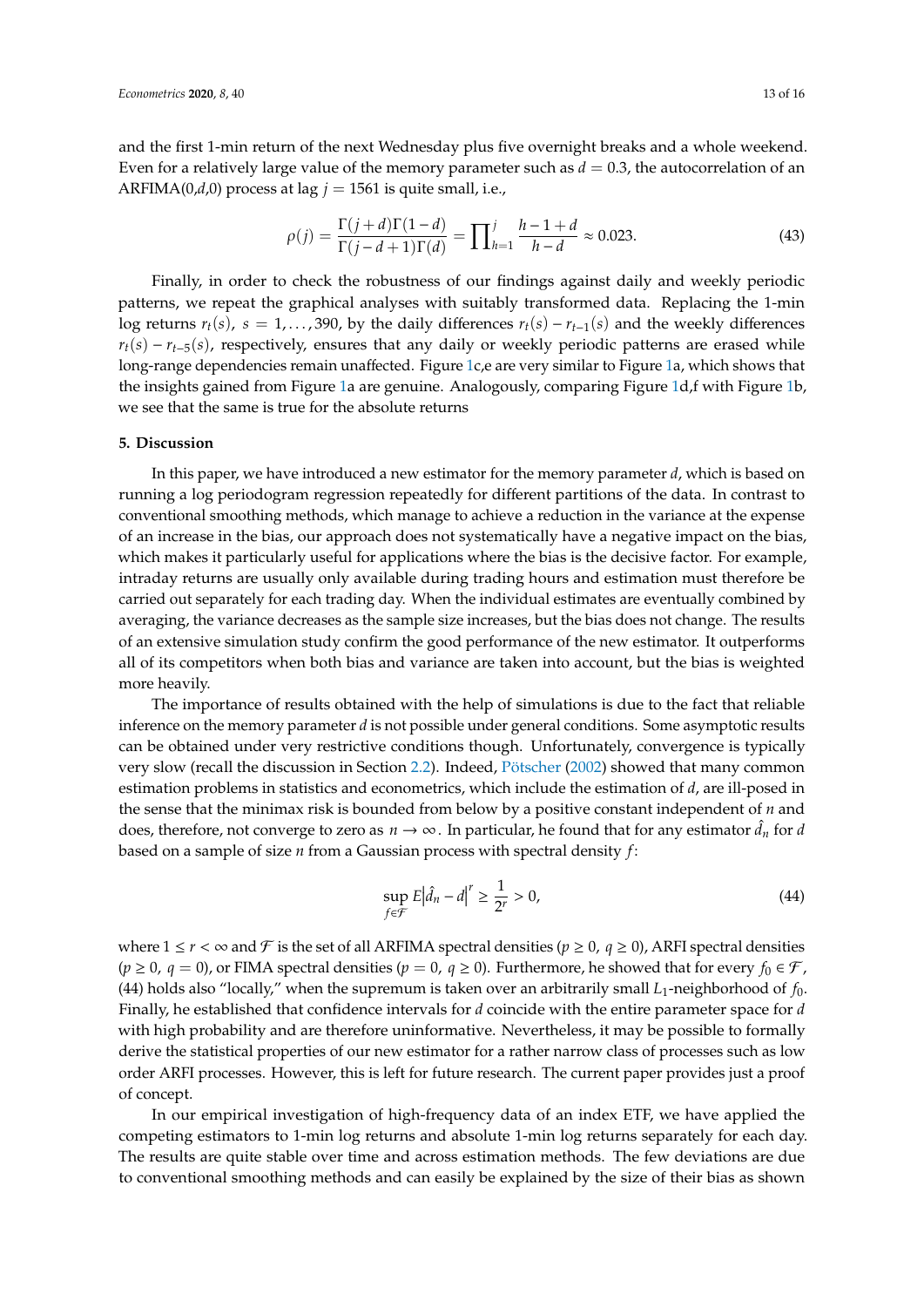and the first 1-min return of the next Wednesday plus five overnight breaks and a whole weekend. Even for a relatively large value of the memory parameter such as  $d = 0.3$ , the autocorrelation of an ARFIMA(0,*d*,0) process at lag  $j = 1561$  is quite small, i.e.,

$$
\rho(j) = \frac{\Gamma(j+d)\Gamma(1-d)}{\Gamma(j-d+1)\Gamma(d)} = \prod_{h=1}^{j} \frac{h-1+d}{h-d} \approx 0.023.
$$
 (43)

Finally, in order to check the robustness of our findings against daily and weekly periodic patterns, we repeat the graphical analyses with suitably transformed data. Replacing the 1-min log returns  $r_t(s)$ ,  $s = 1, \ldots, 390$ , by the daily differences  $r_t(s) - r_{t-1}(s)$  and the weekly differences  $r_t(s) - r_{t-5}(s)$ , respectively, ensures that any daily or weekly periodic patterns are erased while long-range dependencies remain unaffected. Figure [1c](#page-11-0),e are very similar to Figure [1a](#page-11-0), which shows that the insights gained from Figure [1a](#page-11-0) are genuine. Analogously, comparing Figure [1d](#page-11-0),f with Figure [1b](#page-11-0), we see that the same is true for the absolute returns

#### <span id="page-12-0"></span>**5. Discussion**

In this paper, we have introduced a new estimator for the memory parameter *d*, which is based on running a log periodogram regression repeatedly for different partitions of the data. In contrast to conventional smoothing methods, which manage to achieve a reduction in the variance at the expense of an increase in the bias, our approach does not systematically have a negative impact on the bias, which makes it particularly useful for applications where the bias is the decisive factor. For example, intraday returns are usually only available during trading hours and estimation must therefore be carried out separately for each trading day. When the individual estimates are eventually combined by averaging, the variance decreases as the sample size increases, but the bias does not change. The results of an extensive simulation study confirm the good performance of the new estimator. It outperforms all of its competitors when both bias and variance are taken into account, but the bias is weighted more heavily.

The importance of results obtained with the help of simulations is due to the fact that reliable inference on the memory parameter *d* is not possible under general conditions. Some asymptotic results can be obtained under very restrictive conditions though. Unfortunately, convergence is typically very slow (recall the discussion in Section [2.2\)](#page-4-0). Indeed, [Pötscher](#page-14-14) [\(2002\)](#page-14-14) showed that many common estimation problems in statistics and econometrics, which include the estimation of *d*, are ill-posed in the sense that the minimax risk is bounded from below by a positive constant independent of *n* and does, therefore, not converge to zero as  $n \to \infty$ . In particular, he found that for any estimator  $d_n$  for *d* based on a sample of size *n* from a Gaussian process with spectral density *f*:

$$
\sup_{f \in \mathcal{F}} E\left|\hat{d}_n - d\right|^r \ge \frac{1}{2^r} > 0,\tag{44}
$$

where  $1 \le r < \infty$  and F is the set of all ARFIMA spectral densities ( $p \ge 0$ ,  $q \ge 0$ ), ARFI spectral densities  $(p \ge 0, q = 0)$ , or FIMA spectral densities  $(p = 0, q \ge 0)$ . Furthermore, he showed that for every  $f_0 \in \mathcal{F}$ , (44) holds also "locally," when the supremum is taken over an arbitrarily small  $L_1$ -neighborhood of  $f_0$ . Finally, he established that confidence intervals for *d* coincide with the entire parameter space for *d* with high probability and are therefore uninformative. Nevertheless, it may be possible to formally derive the statistical properties of our new estimator for a rather narrow class of processes such as low order ARFI processes. However, this is left for future research. The current paper provides just a proof of concept.

In our empirical investigation of high-frequency data of an index ETF, we have applied the competing estimators to 1-min log returns and absolute 1-min log returns separately for each day. The results are quite stable over time and across estimation methods. The few deviations are due to conventional smoothing methods and can easily be explained by the size of their bias as shown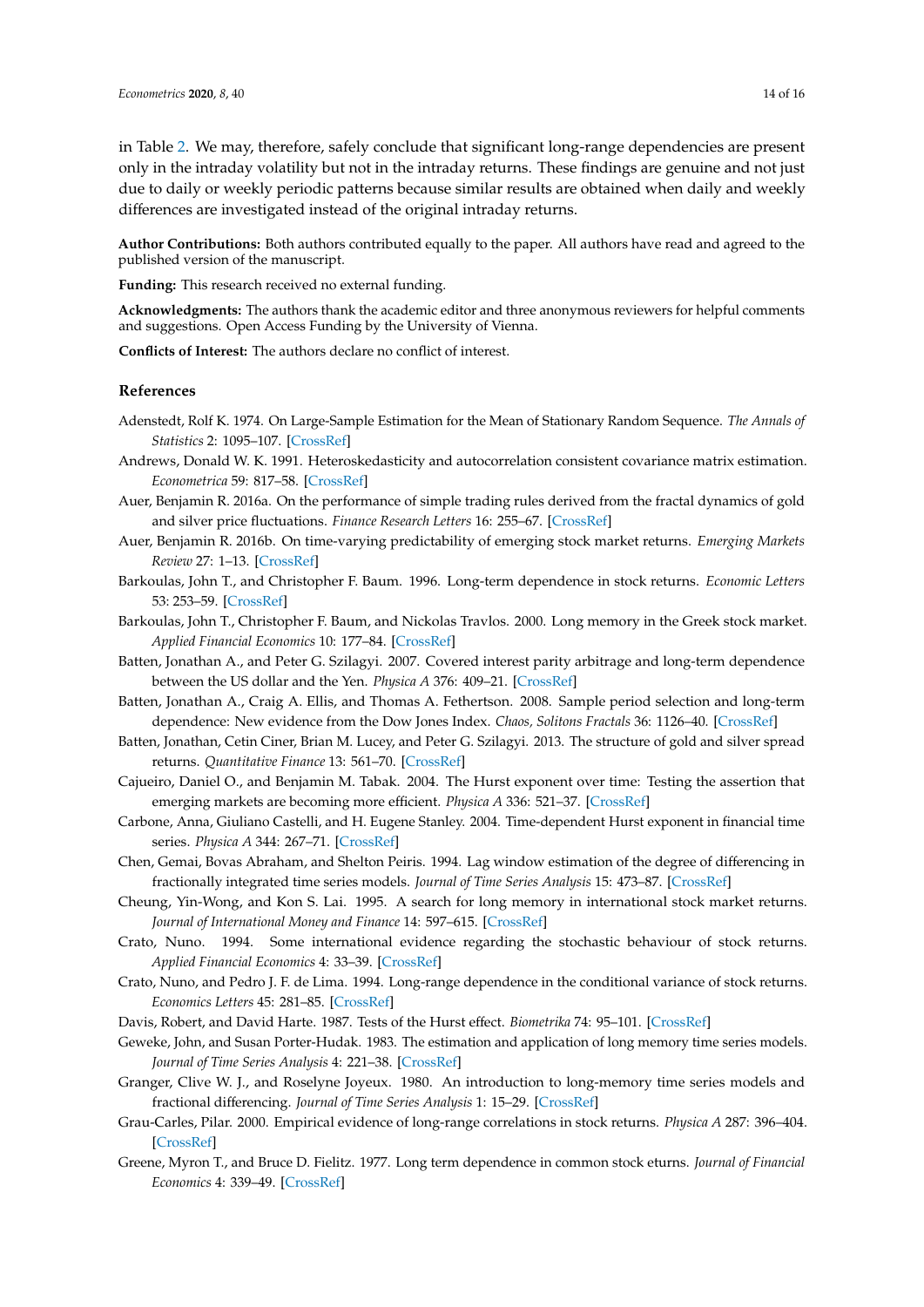in Table [2.](#page-9-0) We may, therefore, safely conclude that significant long-range dependencies are present only in the intraday volatility but not in the intraday returns. These findings are genuine and not just due to daily or weekly periodic patterns because similar results are obtained when daily and weekly differences are investigated instead of the original intraday returns.

**Author Contributions:** Both authors contributed equally to the paper. All authors have read and agreed to the published version of the manuscript.

**Funding:** This research received no external funding.

**Acknowledgments:** The authors thank the academic editor and three anonymous reviewers for helpful comments and suggestions. Open Access Funding by the University of Vienna.

**Conflicts of Interest:** The authors declare no conflict of interest.

#### **References**

- <span id="page-13-19"></span>Adenstedt, Rolf K. 1974. On Large-Sample Estimation for the Mean of Stationary Random Sequence. *The Annals of Statistics* 2: 1095–107. [\[CrossRef\]](http://dx.doi.org/10.1214/aos/1176342867)
- <span id="page-13-2"></span>Andrews, Donald W. K. 1991. Heteroskedasticity and autocorrelation consistent covariance matrix estimation. *Econometrica* 59: 817–58. [\[CrossRef\]](http://dx.doi.org/10.2307/2938229)
- <span id="page-13-16"></span>Auer, Benjamin R. 2016a. On the performance of simple trading rules derived from the fractal dynamics of gold and silver price fluctuations. *Finance Research Letters* 16: 255–67. [\[CrossRef\]](http://dx.doi.org/10.1016/j.frl.2015.12.009)
- <span id="page-13-17"></span>Auer, Benjamin R. 2016b. On time-varying predictability of emerging stock market returns. *Emerging Markets Review* 27: 1–13. [\[CrossRef\]](http://dx.doi.org/10.1016/j.ememar.2016.02.005)
- <span id="page-13-4"></span>Barkoulas, John T., and Christopher F. Baum. 1996. Long-term dependence in stock returns. *Economic Letters* 53: 253–59. [\[CrossRef\]](http://dx.doi.org/10.1016/S0165-1765(96)00935-4)
- <span id="page-13-10"></span>Barkoulas, John T., Christopher F. Baum, and Nickolas Travlos. 2000. Long memory in the Greek stock market. *Applied Financial Economics* 10: 177–84. [\[CrossRef\]](http://dx.doi.org/10.1080/096031000331815)
- <span id="page-13-13"></span>Batten, Jonathan A., and Peter G. Szilagyi. 2007. Covered interest parity arbitrage and long-term dependence between the US dollar and the Yen. *Physica A* 376: 409–21. [\[CrossRef\]](http://dx.doi.org/10.1016/j.physa.2006.10.021)
- <span id="page-13-14"></span>Batten, Jonathan A., Craig A. Ellis, and Thomas A. Fethertson. 2008. Sample period selection and long-term dependence: New evidence from the Dow Jones Index. *Chaos, Solitons Fractals* 36: 1126–40. [\[CrossRef\]](http://dx.doi.org/10.1016/j.chaos.2006.08.013)
- <span id="page-13-15"></span>Batten, Jonathan, Cetin Ciner, Brian M. Lucey, and Peter G. Szilagyi. 2013. The structure of gold and silver spread returns. *Quantitative Finance* 13: 561–70. [\[CrossRef\]](http://dx.doi.org/10.1080/14697688.2012.708777)
- <span id="page-13-11"></span>Cajueiro, Daniel O., and Benjamin M. Tabak. 2004. The Hurst exponent over time: Testing the assertion that emerging markets are becoming more efficient. *Physica A* 336: 521–37. [\[CrossRef\]](http://dx.doi.org/10.1016/j.physa.2003.12.031)
- <span id="page-13-12"></span>Carbone, Anna, Giuliano Castelli, and H. Eugene Stanley. 2004. Time-dependent Hurst exponent in financial time series. *Physica A* 344: 267–71. [\[CrossRef\]](http://dx.doi.org/10.1016/j.physa.2004.06.130)
- <span id="page-13-18"></span>Chen, Gemai, Bovas Abraham, and Shelton Peiris. 1994. Lag window estimation of the degree of differencing in fractionally integrated time series models. *Journal of Time Series Analysis* 15: 473–87. [\[CrossRef\]](http://dx.doi.org/10.1111/j.1467-9892.1994.tb00205.x)
- <span id="page-13-5"></span>Cheung, Yin-Wong, and Kon S. Lai. 1995. A search for long memory in international stock market returns. *Journal of International Money and Finance* 14: 597–615. [\[CrossRef\]](http://dx.doi.org/10.1016/0261-5606(95)93616-U)
- <span id="page-13-6"></span>Crato, Nuno. 1994. Some international evidence regarding the stochastic behaviour of stock returns. *Applied Financial Economics* 4: 33–39. [\[CrossRef\]](http://dx.doi.org/10.1080/758522123)
- <span id="page-13-9"></span>Crato, Nuno, and Pedro J. F. de Lima. 1994. Long-range dependence in the conditional variance of stock returns. *Economics Letters* 45: 281–85. [\[CrossRef\]](http://dx.doi.org/10.1016/0165-1765(94)90024-8)
- <span id="page-13-1"></span>Davis, Robert, and David Harte. 1987. Tests of the Hurst effect. *Biometrika* 74: 95–101. [\[CrossRef\]](http://dx.doi.org/10.1093/biomet/74.1.95)
- <span id="page-13-3"></span>Geweke, John, and Susan Porter-Hudak. 1983. The estimation and application of long memory time series models. *Journal of Time Series Analysis* 4: 221–38. [\[CrossRef\]](http://dx.doi.org/10.1111/j.1467-9892.1983.tb00371.x)
- <span id="page-13-7"></span>Granger, Clive W. J., and Roselyne Joyeux. 1980. An introduction to long-memory time series models and fractional differencing. *Journal of Time Series Analysis* 1: 15–29. [\[CrossRef\]](http://dx.doi.org/10.1111/j.1467-9892.1980.tb00297.x)
- <span id="page-13-8"></span>Grau-Carles, Pilar. 2000. Empirical evidence of long-range correlations in stock returns. *Physica A* 287: 396–404. [\[CrossRef\]](http://dx.doi.org/10.1016/S0378-4371(00)00378-2)
- <span id="page-13-0"></span>Greene, Myron T., and Bruce D. Fielitz. 1977. Long term dependence in common stock eturns. *Journal of Financial Economics* 4: 339–49. [\[CrossRef\]](http://dx.doi.org/10.1016/0304-405X(77)90006-X)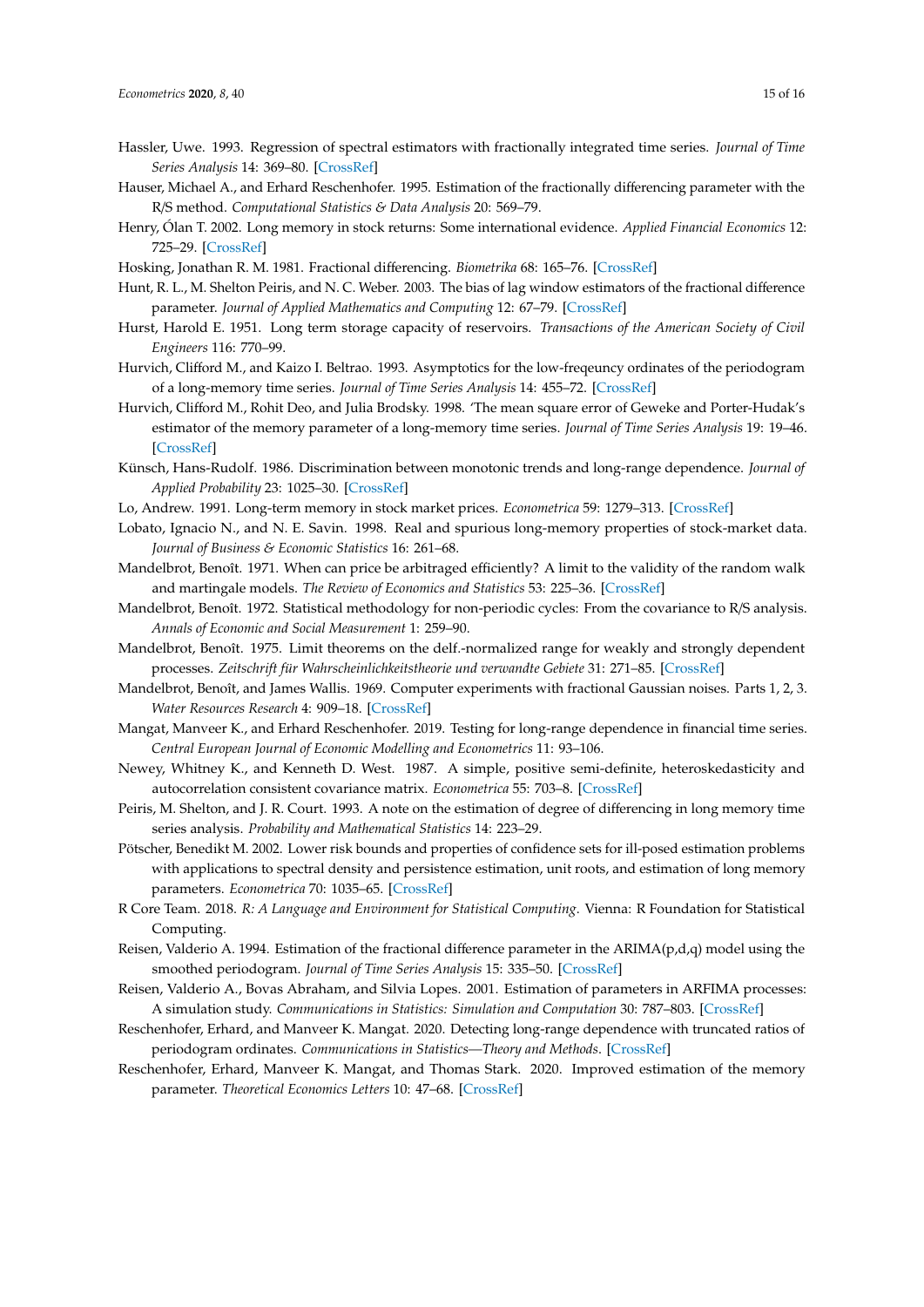- <span id="page-14-8"></span>Hassler, Uwe. 1993. Regression of spectral estimators with fractionally integrated time series. *Journal of Time Series Analysis* 14: 369–80. [\[CrossRef\]](http://dx.doi.org/10.1111/j.1467-9892.1993.tb00151.x)
- <span id="page-14-6"></span>Hauser, Michael A., and Erhard Reschenhofer. 1995. Estimation of the fractionally differencing parameter with the R/S method. *Computational Statistics & Data Analysis* 20: 569–79.
- <span id="page-14-15"></span>Henry, Ólan T. 2002. Long memory in stock returns: Some international evidence. *Applied Financial Economics* 12: 725–29. [\[CrossRef\]](http://dx.doi.org/10.1080/09603100010025733)
- <span id="page-14-22"></span><span id="page-14-12"></span>Hosking, Jonathan R. M. 1981. Fractional differencing. *Biometrika* 68: 165–76. [\[CrossRef\]](http://dx.doi.org/10.1093/biomet/68.1.165)
- Hunt, R. L., M. Shelton Peiris, and N. C. Weber. 2003. The bias of lag window estimators of the fractional difference parameter. *Journal of Applied Mathematics and Computing* 12: 67–79. [\[CrossRef\]](http://dx.doi.org/10.1007/BF02936183)
- <span id="page-14-1"></span>Hurst, Harold E. 1951. Long term storage capacity of reservoirs. *Transactions of the American Society of Civil Engineers* 116: 770–99.
- <span id="page-14-18"></span>Hurvich, Clifford M., and Kaizo I. Beltrao. 1993. Asymptotics for the low-freqeuncy ordinates of the periodogram of a long-memory time series. *Journal of Time Series Analysis* 14: 455–72. [\[CrossRef\]](http://dx.doi.org/10.1111/j.1467-9892.1993.tb00157.x)
- <span id="page-14-19"></span>Hurvich, Clifford M., Rohit Deo, and Julia Brodsky. 1998. 'The mean square error of Geweke and Porter-Hudak's estimator of the memory parameter of a long-memory time series. *Journal of Time Series Analysis* 19: 19–46. [\[CrossRef\]](http://dx.doi.org/10.1111/1467-9892.00075)
- <span id="page-14-20"></span>Künsch, Hans-Rudolf. 1986. Discrimination between monotonic trends and long-range dependence. *Journal of Applied Probability* 23: 1025–30. [\[CrossRef\]](http://dx.doi.org/10.2307/3214476)
- <span id="page-14-13"></span><span id="page-14-5"></span>Lo, Andrew. 1991. Long-term memory in stock market prices. *Econometrica* 59: 1279–313. [\[CrossRef\]](http://dx.doi.org/10.2307/2938368)
- Lobato, Ignacio N., and N. E. Savin. 1998. Real and spurious long-memory properties of stock-market data. *Journal of Business & Economic Statistics* 16: 261–68.
- <span id="page-14-0"></span>Mandelbrot, Benoît. 1971. When can price be arbitraged efficiently? A limit to the validity of the random walk and martingale models. *The Review of Economics and Statistics* 53: 225–36. [\[CrossRef\]](http://dx.doi.org/10.2307/1937966)
- <span id="page-14-3"></span>Mandelbrot, Benoît. 1972. Statistical methodology for non-periodic cycles: From the covariance to R/S analysis. *Annals of Economic and Social Measurement* 1: 259–90.
- <span id="page-14-4"></span>Mandelbrot, Benoît. 1975. Limit theorems on the delf.-normalized range for weakly and strongly dependent processes. *Zeitschrift für Wahrscheinlichkeitstheorie und verwandte Gebiete* 31: 271–85. [\[CrossRef\]](http://dx.doi.org/10.1007/BF00532867)
- <span id="page-14-2"></span>Mandelbrot, Benoît, and James Wallis. 1969. Computer experiments with fractional Gaussian noises. Parts 1, 2, 3. *Water Resources Research* 4: 909–18. [\[CrossRef\]](http://dx.doi.org/10.1029/WR004i005p00909)
- <span id="page-14-11"></span>Mangat, Manveer K., and Erhard Reschenhofer. 2019. Testing for long-range dependence in financial time series. *Central European Journal of Economic Modelling and Econometrics* 11: 93–106.
- <span id="page-14-7"></span>Newey, Whitney K., and Kenneth D. West. 1987. A simple, positive semi-definite, heteroskedasticity and autocorrelation consistent covariance matrix. *Econometrica* 55: 703–8. [\[CrossRef\]](http://dx.doi.org/10.2307/1913610)
- <span id="page-14-9"></span>Peiris, M. Shelton, and J. R. Court. 1993. A note on the estimation of degree of differencing in long memory time series analysis. *Probability and Mathematical Statistics* 14: 223–29.
- <span id="page-14-14"></span>Pötscher, Benedikt M. 2002. Lower risk bounds and properties of confidence sets for ill-posed estimation problems with applications to spectral density and persistence estimation, unit roots, and estimation of long memory parameters. *Econometrica* 70: 1035–65. [\[CrossRef\]](http://dx.doi.org/10.1111/1468-0262.00318)
- <span id="page-14-23"></span>R Core Team. 2018. *R: A Language and Environment for Statistical Computing*. Vienna: R Foundation for Statistical Computing.
- <span id="page-14-10"></span>Reisen, Valderio A. 1994. Estimation of the fractional difference parameter in the  $ARIMA(p,d,q)$  model using the smoothed periodogram. *Journal of Time Series Analysis* 15: 335–50. [\[CrossRef\]](http://dx.doi.org/10.1111/j.1467-9892.1994.tb00198.x)
- <span id="page-14-21"></span>Reisen, Valderio A., Bovas Abraham, and Silvia Lopes. 2001. Estimation of parameters in ARFIMA processes: A simulation study. *Communications in Statistics: Simulation and Computation* 30: 787–803. [\[CrossRef\]](http://dx.doi.org/10.1081/SAC-100107781)
- <span id="page-14-16"></span>Reschenhofer, Erhard, and Manveer K. Mangat. 2020. Detecting long-range dependence with truncated ratios of periodogram ordinates. *Communications in Statistics—Theory and Methods*. [\[CrossRef\]](http://dx.doi.org/10.1080/03610926.2019.1709646)
- <span id="page-14-17"></span>Reschenhofer, Erhard, Manveer K. Mangat, and Thomas Stark. 2020. Improved estimation of the memory parameter. *Theoretical Economics Letters* 10: 47–68. [\[CrossRef\]](http://dx.doi.org/10.4236/tel.2020.101004)